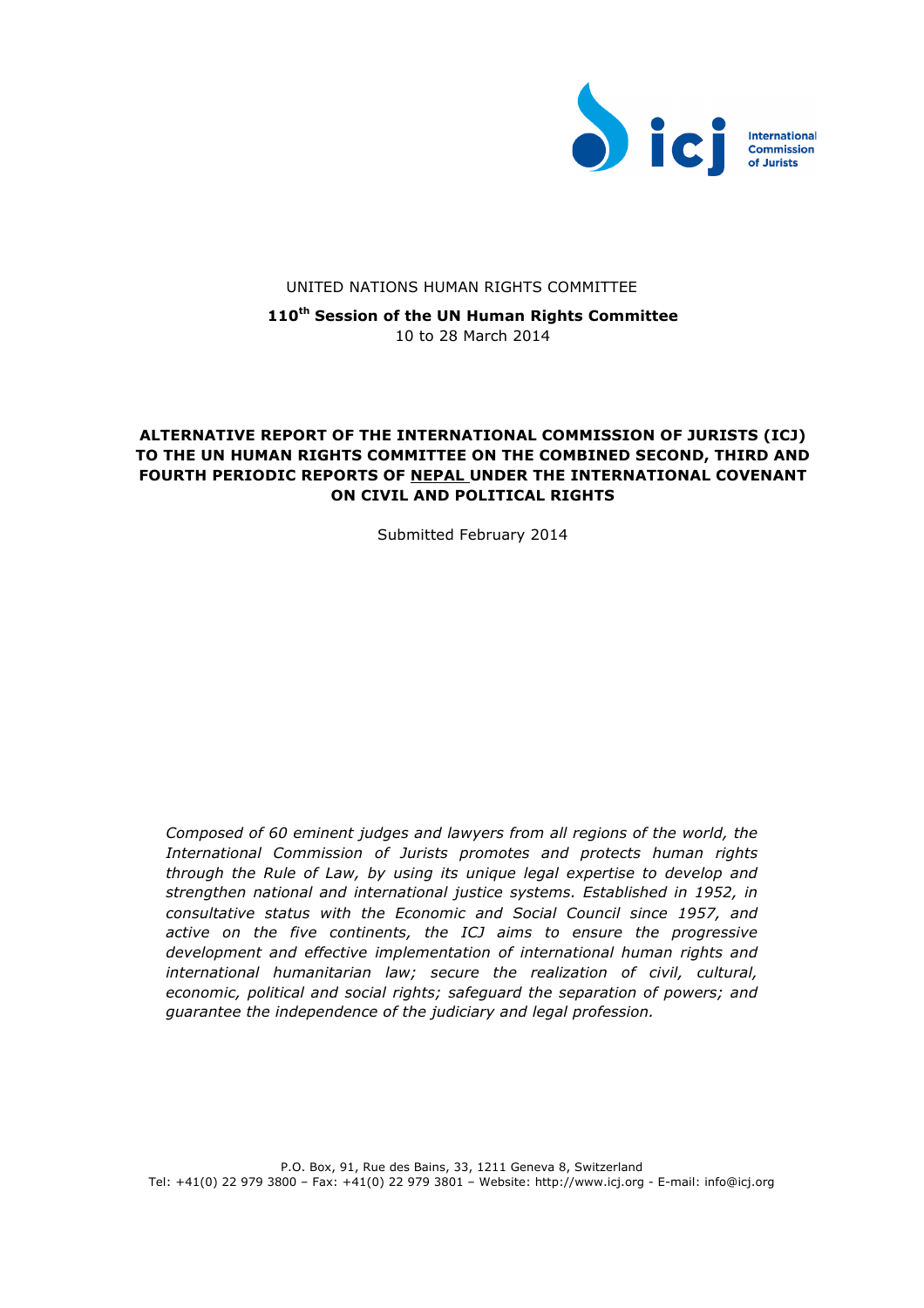

#### UNITED NATIONS HUMAN RIGHTS COMMITTEE

**110th Session of the UN Human Rights Committee**  10 to 28 March 2014

# **ALTERNATIVE REPORT OF THE INTERNATIONAL COMMISSION OF JURISTS (ICJ) TO THE UN HUMAN RIGHTS COMMITTEE ON THE COMBINED SECOND, THIRD AND FOURTH PERIODIC REPORTS OF NEPAL UNDER THE INTERNATIONAL COVENANT ON CIVIL AND POLITICAL RIGHTS**

Submitted February 2014

*Composed of 60 eminent judges and lawyers from all regions of the world, the International Commission of Jurists promotes and protects human rights through the Rule of Law, by using its unique legal expertise to develop and strengthen national and international justice systems. Established in 1952, in consultative status with the Economic and Social Council since 1957, and active on the five continents, the ICJ aims to ensure the progressive development and effective implementation of international human rights and international humanitarian law; secure the realization of civil, cultural, economic, political and social rights; safeguard the separation of powers; and guarantee the independence of the judiciary and legal profession.*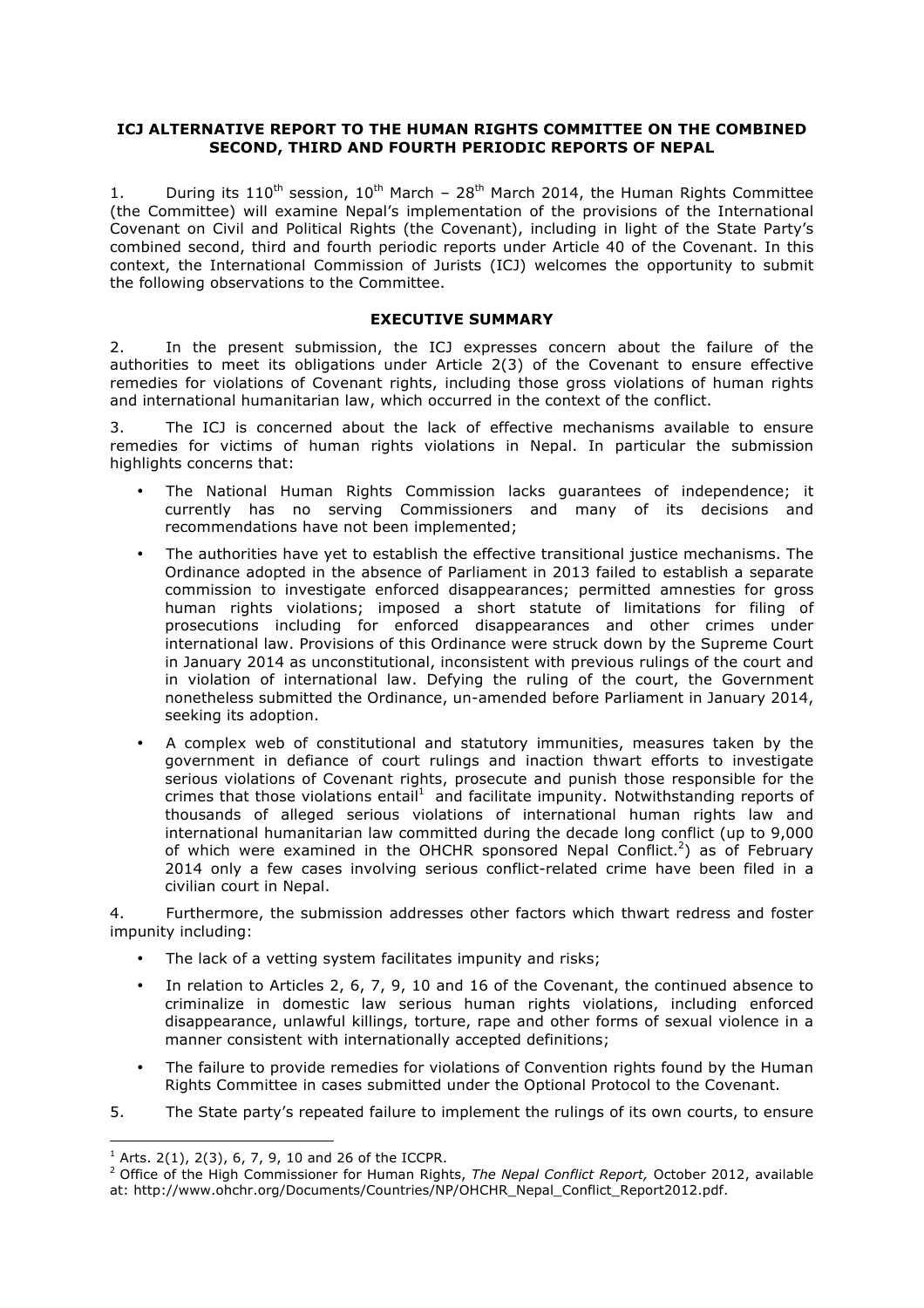#### **ICJ ALTERNATIVE REPORT TO THE HUMAN RIGHTS COMMITTEE ON THE COMBINED SECOND, THIRD AND FOURTH PERIODIC REPORTS OF NEPAL**

1. During its  $110^{th}$  session,  $10^{th}$  March –  $28^{th}$  March 2014, the Human Rights Committee (the Committee) will examine Nepal's implementation of the provisions of the International Covenant on Civil and Political Rights (the Covenant), including in light of the State Party's combined second, third and fourth periodic reports under Article 40 of the Covenant. In this context, the International Commission of Jurists (ICJ) welcomes the opportunity to submit the following observations to the Committee.

#### **EXECUTIVE SUMMARY**

2. In the present submission, the ICJ expresses concern about the failure of the authorities to meet its obligations under Article 2(3) of the Covenant to ensure effective remedies for violations of Covenant rights, including those gross violations of human rights and international humanitarian law, which occurred in the context of the conflict.

3. The ICJ is concerned about the lack of effective mechanisms available to ensure remedies for victims of human rights violations in Nepal. In particular the submission highlights concerns that:

- The National Human Rights Commission lacks guarantees of independence; it currently has no serving Commissioners and many of its decisions and recommendations have not been implemented;
- The authorities have yet to establish the effective transitional justice mechanisms. The Ordinance adopted in the absence of Parliament in 2013 failed to establish a separate commission to investigate enforced disappearances; permitted amnesties for gross human rights violations; imposed a short statute of limitations for filing of prosecutions including for enforced disappearances and other crimes under international law. Provisions of this Ordinance were struck down by the Supreme Court in January 2014 as unconstitutional, inconsistent with previous rulings of the court and in violation of international law. Defying the ruling of the court, the Government nonetheless submitted the Ordinance, un-amended before Parliament in January 2014, seeking its adoption.
- A complex web of constitutional and statutory immunities, measures taken by the government in defiance of court rulings and inaction thwart efforts to investigate serious violations of Covenant rights, prosecute and punish those responsible for the crimes that those violations entail<sup>1</sup> and facilitate impunity. Notwithstanding reports of thousands of alleged serious violations of international human rights law and international humanitarian law committed during the decade long conflict (up to 9,000 of which were examined in the OHCHR sponsored Nepal Conflict.<sup>2</sup>) as of February 2014 only a few cases involving serious conflict-related crime have been filed in a civilian court in Nepal.

4. Furthermore, the submission addresses other factors which thwart redress and foster impunity including:

- The lack of a vetting system facilitates impunity and risks;
- In relation to Articles 2, 6, 7, 9, 10 and 16 of the Covenant, the continued absence to criminalize in domestic law serious human rights violations, including enforced disappearance, unlawful killings, torture, rape and other forms of sexual violence in a manner consistent with internationally accepted definitions;
- The failure to provide remedies for violations of Convention rights found by the Human Rights Committee in cases submitted under the Optional Protocol to the Covenant.
- 5. The State party's repeated failure to implement the rulings of its own courts, to ensure

<sup>&</sup>lt;sup>1</sup> Arts. 2(1), 2(3), 6, 7, 9, 10 and 26 of the ICCPR.<br><sup>2</sup> Office of the High Commissioner for Human Rights, *The Nepal Conflict Report,* October 2012, available at: http://www.ohchr.org/Documents/Countries/NP/OHCHR\_Nepal\_Conflict\_Report2012.pdf.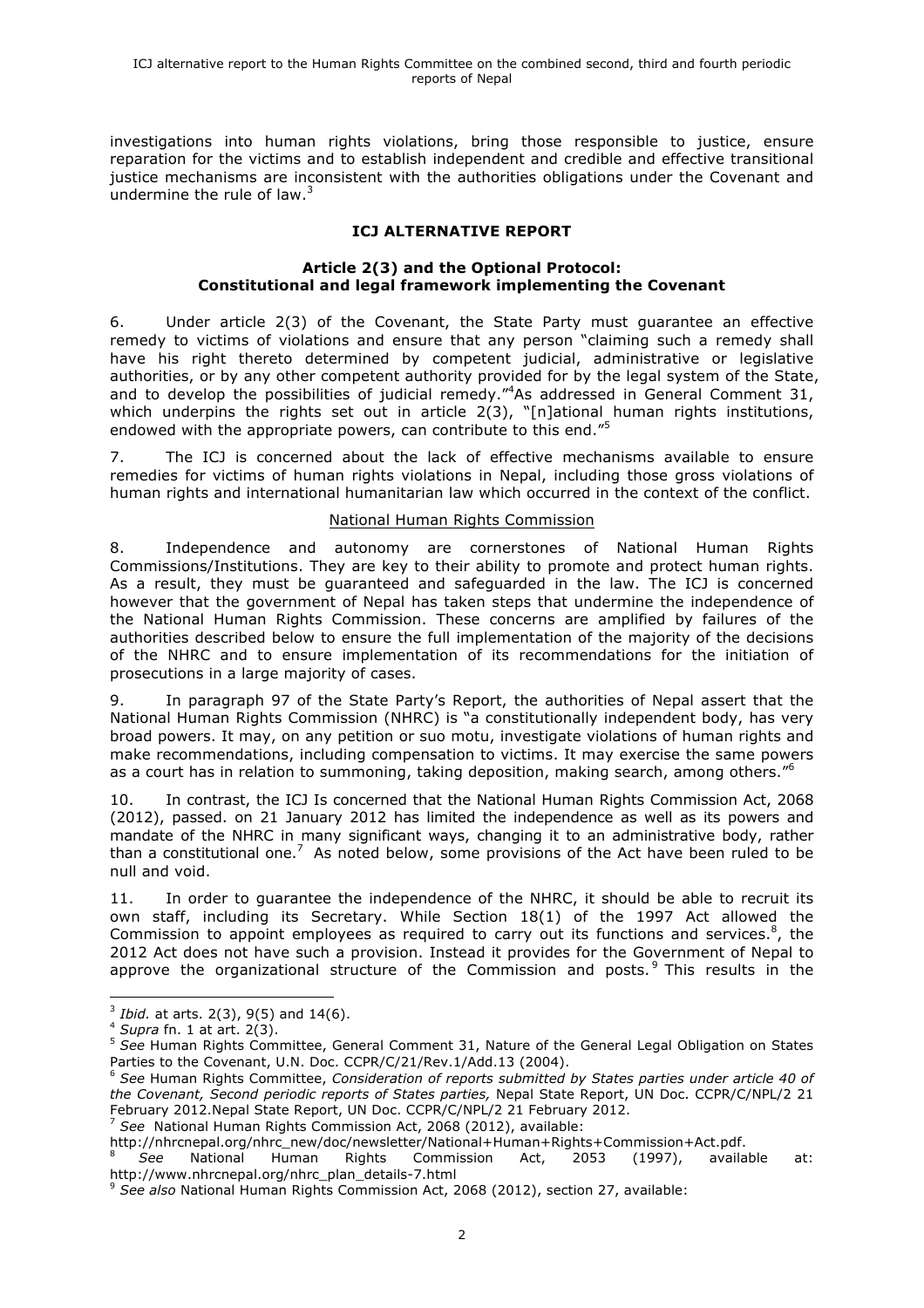investigations into human rights violations, bring those responsible to justice, ensure reparation for the victims and to establish independent and credible and effective transitional justice mechanisms are inconsistent with the authorities obligations under the Covenant and undermine the rule of law. $3$ 

# **ICJ ALTERNATIVE REPORT**

## **Article 2(3) and the Optional Protocol: Constitutional and legal framework implementing the Covenant**

6. Under article 2(3) of the Covenant, the State Party must guarantee an effective remedy to victims of violations and ensure that any person "claiming such a remedy shall have his right thereto determined by competent judicial, administrative or legislative authorities, or by any other competent authority provided for by the legal system of the State, and to develop the possibilities of judicial remedy."<sup>4</sup>As addressed in General Comment 31, which underpins the rights set out in article 2(3), "[n]ational human rights institutions, endowed with the appropriate powers, can contribute to this end."<sup>5</sup>

7. The ICJ is concerned about the lack of effective mechanisms available to ensure remedies for victims of human rights violations in Nepal, including those gross violations of human rights and international humanitarian law which occurred in the context of the conflict.

## National Human Rights Commission

8. Independence and autonomy are cornerstones of National Human Rights Commissions/Institutions. They are key to their ability to promote and protect human rights. As a result, they must be guaranteed and safeguarded in the law. The ICJ is concerned however that the government of Nepal has taken steps that undermine the independence of the National Human Rights Commission. These concerns are amplified by failures of the authorities described below to ensure the full implementation of the majority of the decisions of the NHRC and to ensure implementation of its recommendations for the initiation of prosecutions in a large majority of cases.

9. In paragraph 97 of the State Party's Report, the authorities of Nepal assert that the National Human Rights Commission (NHRC) is "a constitutionally independent body, has very broad powers. It may, on any petition or suo motu, investigate violations of human rights and make recommendations, including compensation to victims. It may exercise the same powers as a court has in relation to summoning, taking deposition, making search, among others."<sup>6</sup>

10. In contrast, the ICJ Is concerned that the National Human Rights Commission Act, 2068 (2012), passed. on 21 January 2012 has limited the independence as well as its powers and mandate of the NHRC in many significant ways, changing it to an administrative body, rather than a constitutional one.<sup>7</sup> As noted below, some provisions of the Act have been ruled to be null and void.

11. In order to guarantee the independence of the NHRC, it should be able to recruit its own staff, including its Secretary. While Section 18(1) of the 1997 Act allowed the Commission to appoint employees as required to carry out its functions and services. $8$ , the 2012 Act does not have such a provision. Instead it provides for the Government of Nepal to approve the organizational structure of the Commission and posts.<sup>9</sup> This results in the

http://nhrcnepal.org/nhrc\_new/doc/newsletter/National+Human+Rights+Commission+Act.pdf.

<sup>8</sup> *See* National Human Rights Commission Act, 2053 (1997), available at: http://www.nhrcnepal.org/nhrc\_plan\_details-7.html

 <sup>3</sup> *Ibid.* at arts. 2(3), 9(5) and 14(6). 4 *Supra* fn. 1 at art. 2(3).

<sup>5</sup> *See* Human Rights Committee, General Comment 31, Nature of the General Legal Obligation on States Parties to the Covenant, U.N. Doc. CCPR/C/21/Rev.1/Add.13 (2004).

<sup>6</sup> *See* Human Rights Committee, *Consideration of reports submitted by States parties under article 40 of the Covenant, Second periodic reports of States parties,* Nepal State Report, UN Doc. CCPR/C/NPL/2 21 February 2012.Nepal State Report, UN Doc. CCPR/C/NPL/2 21 February 2012.<br><sup>7</sup> See National Human Rights Commission Act, 2068 (2012), available:

<sup>9</sup> *See also* National Human Rights Commission Act, 2068 (2012), section 27, available: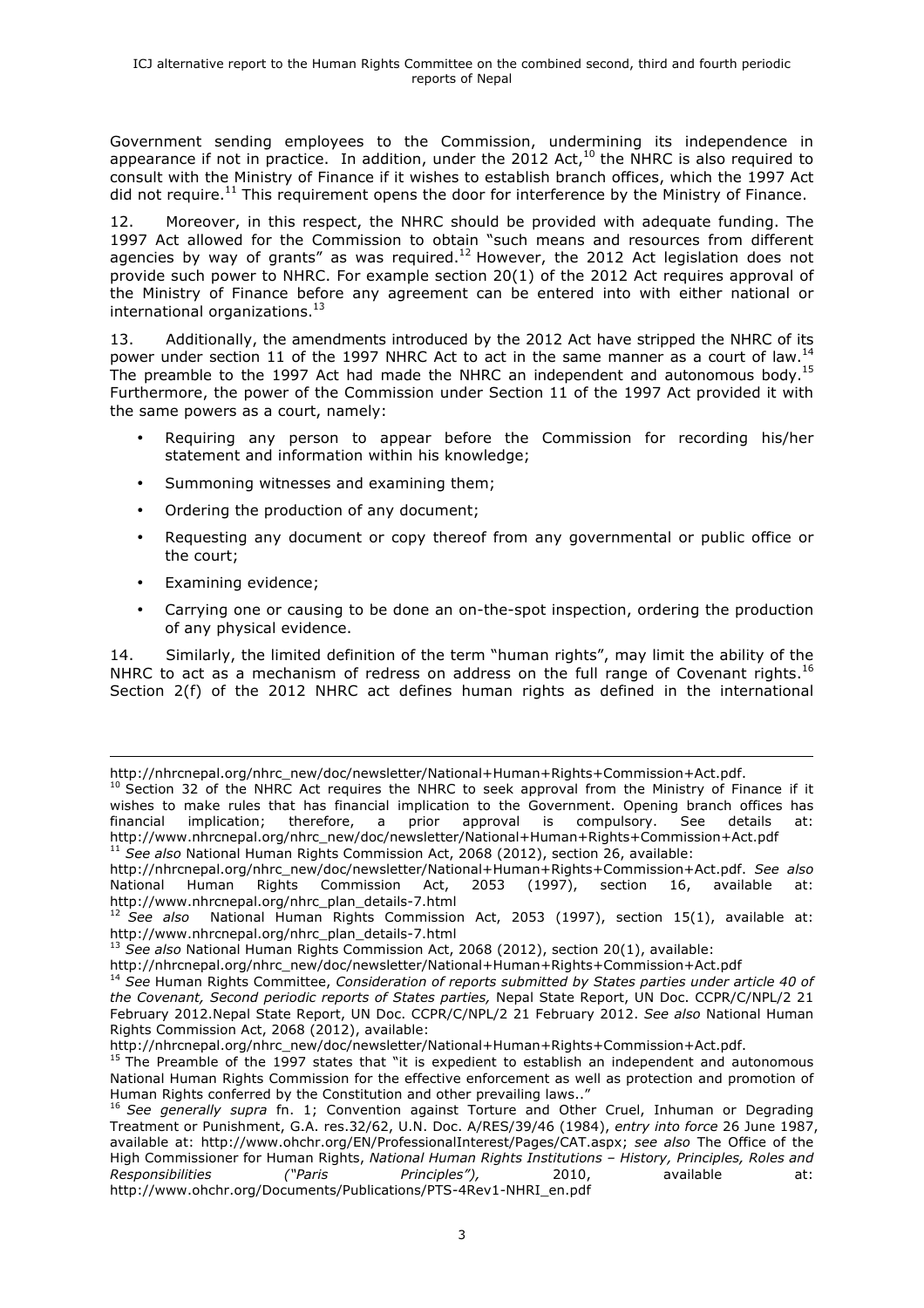Government sending employees to the Commission, undermining its independence in appearance if not in practice. In addition, under the 2012 Act, $^{10}$  the NHRC is also required to consult with the Ministry of Finance if it wishes to establish branch offices, which the 1997 Act did not require.<sup>11</sup> This requirement opens the door for interference by the Ministry of Finance.

12. Moreover, in this respect, the NHRC should be provided with adequate funding. The 1997 Act allowed for the Commission to obtain "such means and resources from different agencies by way of grants" as was required. $^{12}$  However, the 2012 Act legislation does not provide such power to NHRC. For example section 20(1) of the 2012 Act requires approval of the Ministry of Finance before any agreement can be entered into with either national or international organizations. $^{13}$ 

13. Additionally, the amendments introduced by the 2012 Act have stripped the NHRC of its power under section 11 of the 1997 NHRC Act to act in the same manner as a court of law.<sup>14</sup> The preamble to the 1997 Act had made the NHRC an independent and autonomous body.<sup>15</sup> Furthermore, the power of the Commission under Section 11 of the 1997 Act provided it with the same powers as a court, namely:

- Requiring any person to appear before the Commission for recording his/her statement and information within his knowledge;
- Summoning witnesses and examining them;
- Ordering the production of any document;
- Requesting any document or copy thereof from any governmental or public office or the court;
- Examining evidence;
- Carrying one or causing to be done an on-the-spot inspection, ordering the production of any physical evidence.

14. Similarly, the limited definition of the term "human rights", may limit the ability of the NHRC to act as a mechanism of redress on address on the full range of Covenant rights.<sup>16</sup> Section 2(f) of the 2012 NHRC act defines human rights as defined in the international

http://nhrcnepal.org/nhrc\_new/doc/newsletter/National+Human+Rights+Commission+Act.pdf. *See also*  National Human Rights Commission Act, 2053 (1997), section 16, available

<sup>&</sup>lt;u> 2002 - Andrea San Andrea San Andrea San Andrea San Andrea San Andrea San Andrea San Andrea San Andrea San An</u> http://nhrcnepal.org/nhrc\_new/doc/newsletter/National+Human+Rights+Commission+Act.pdf.

 $10$  Section 32 of the NHRC Act requires the NHRC to seek approval from the Ministry of Finance if it wishes to make rules that has financial implication to the Government. Opening branch offices has financial implication: therefore, a prior approval is compulsory. See details at: financial implication; therefore, a prior approval is compulsory. See details at: http://www.nhrcnepal.org/nhrc\_new/doc/newsletter/National+Human+Rights+Commission+Act.pdf <sup>11</sup> *See also* National Human Rights Commission Act, 2068 (2012), section 26, available:

http://www.nhrcnepal.org/nhrc\_plan\_details-7.html<br><sup>12</sup> See also National Human Rights Commission <sup>12</sup> *See also* National Human Rights Commission Act, 2053 (1997), section 15(1), available at: http://www.nhrcnepal.org/nhrc\_plan\_details-7.html

<sup>13</sup> *See also* National Human Rights Commission Act, 2068 (2012), section 20(1), available:

http://nhrcnepal.org/nhrc\_new/doc/newsletter/National+Human+Rights+Commission+Act.pdf

<sup>14</sup> *See* Human Rights Committee, *Consideration of reports submitted by States parties under article 40 of the Covenant, Second periodic reports of States parties,* Nepal State Report, UN Doc. CCPR/C/NPL/2 21 February 2012.Nepal State Report, UN Doc. CCPR/C/NPL/2 21 February 2012. *See also* National Human Rights Commission Act, 2068 (2012), available:

http://nhrcnepal.org/nhrc\_new/doc/newsletter/National+Human+Rights+Commission+Act.pdf.<br><sup>15</sup> The Preamble of the 1997 states that "it is expedient to establish an independent and autonomous National Human Rights Commission for the effective enforcement as well as protection and promotion of Human Rights conferred by the Constitution and other prevailing laws.."

<sup>16</sup> *See generally supra* fn. 1; Convention against Torture and Other Cruel, Inhuman or Degrading Treatment or Punishment, G.A. res.32/62, U.N. Doc. A/RES/39/46 (1984), *entry into force* 26 June 1987, available at: http://www.ohchr.org/EN/ProfessionalInterest/Pages/CAT.aspx; *see also* The Office of the High Commissioner for Human Rights, *National Human Rights Institutions – History, Principles, Roles and Responsibilities ("Paris Principles"),* 2010, available at: http://www.ohchr.org/Documents/Publications/PTS-4Rev1-NHRI\_en.pdf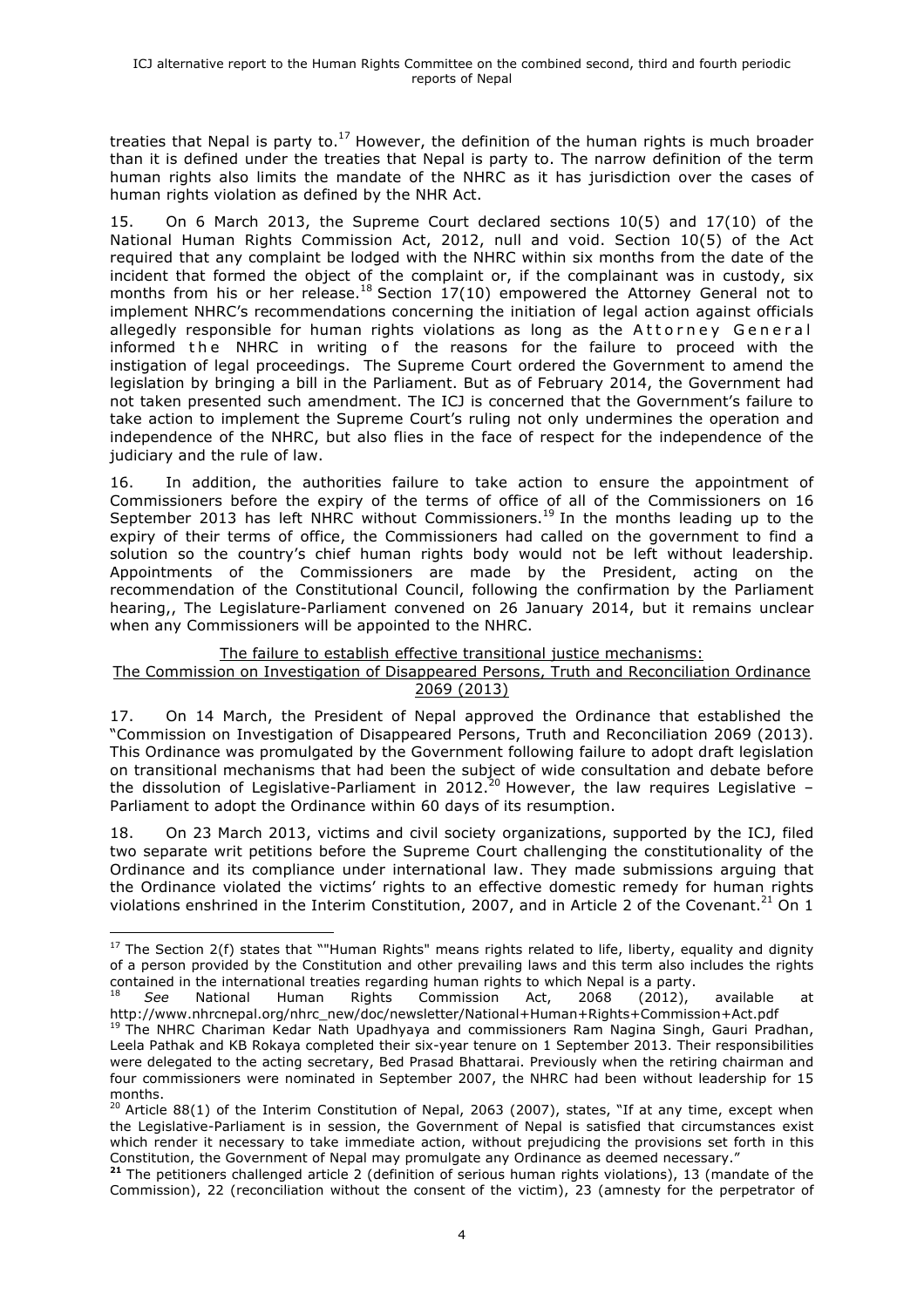treaties that Nepal is party to. $^{17}$  However, the definition of the human rights is much broader than it is defined under the treaties that Nepal is party to. The narrow definition of the term human rights also limits the mandate of the NHRC as it has jurisdiction over the cases of human rights violation as defined by the NHR Act.

15. On 6 March 2013, the Supreme Court declared sections 10(5) and 17(10) of the National Human Rights Commission Act, 2012, null and void. Section 10(5) of the Act required that any complaint be lodged with the NHRC within six months from the date of the incident that formed the object of the complaint or, if the complainant was in custody, six months from his or her release.<sup>18</sup> Section  $17(10)$  empowered the Attorney General not to implement NHRC's recommendations concerning the initiation of legal action against officials allegedly responsible for human rights violations as long as the Attorney General informed the NHRC in writing of the reasons for the failure to proceed with the instigation of legal proceedings. The Supreme Court ordered the Government to amend the legislation by bringing a bill in the Parliament. But as of February 2014, the Government had not taken presented such amendment. The ICJ is concerned that the Government's failure to take action to implement the Supreme Court's ruling not only undermines the operation and independence of the NHRC, but also flies in the face of respect for the independence of the judiciary and the rule of law.

16. In addition, the authorities failure to take action to ensure the appointment of Commissioners before the expiry of the terms of office of all of the Commissioners on 16 September 2013 has left NHRC without Commissioners.<sup>19</sup> In the months leading up to the expiry of their terms of office, the Commissioners had called on the government to find a solution so the country's chief human rights body would not be left without leadership. Appointments of the Commissioners are made by the President, acting on the recommendation of the Constitutional Council, following the confirmation by the Parliament hearing,, The Legislature-Parliament convened on 26 January 2014, but it remains unclear when any Commissioners will be appointed to the NHRC.

## The failure to establish effective transitional justice mechanisms:

#### The Commission on Investigation of Disappeared Persons, Truth and Reconciliation Ordinance 2069 (2013)

17. On 14 March, the President of Nepal approved the Ordinance that established the "Commission on Investigation of Disappeared Persons, Truth and Reconciliation 2069 (2013). This Ordinance was promulgated by the Government following failure to adopt draft legislation on transitional mechanisms that had been the subject of wide consultation and debate before the dissolution of Legislative-Parliament in 2012.<sup>20</sup> However, the law requires Legislative -Parliament to adopt the Ordinance within 60 days of its resumption.

18. On 23 March 2013, victims and civil society organizations, supported by the ICJ, filed two separate writ petitions before the Supreme Court challenging the constitutionality of the Ordinance and its compliance under international law. They made submissions arguing that the Ordinance violated the victims' rights to an effective domestic remedy for human rights violations enshrined in the Interim Constitution, 2007, and in Article 2 of the Covenant.<sup>21</sup> On 1

 <sup>17</sup> The Section 2(f) states that ""Human Rights" means rights related to life, liberty, equality and dignity of a person provided by the Constitution and other prevailing laws and this term also includes the rights contained in the international treaties regarding human rights to which Nepal is a party.

**<sup>18</sup> See National Human Rights Commission Act, 2068 (2012), available at at at Action** http://www.nhrcnepal.org/nhrc\_new/doc/newsletter/National+Human+Rights+Commission+Act.pdf

<sup>&</sup>lt;sup>19</sup> The NHRC Chariman Kedar Nath Upadhyaya and commissioners Ram Nagina Singh, Gauri Pradhan, Leela Pathak and KB Rokaya completed their six-year tenure on 1 September 2013. Their responsibilities were delegated to the acting secretary, Bed Prasad Bhattarai. Previously when the retiring chairman and four commissioners were nominated in September 2007, the NHRC had been without leadership for 15 months.

 $20$  Article 88(1) of the Interim Constitution of Nepal, 2063 (2007), states, "If at any time, except when the Legislative-Parliament is in session, the Government of Nepal is satisfied that circumstances exist which render it necessary to take immediate action, without prejudicing the provisions set forth in this Constitution, the Government of Nepal may promulgate any Ordinance as deemed necessary."

**<sup>21</sup>** The petitioners challenged article 2 (definition of serious human rights violations), 13 (mandate of the Commission), 22 (reconciliation without the consent of the victim), 23 (amnesty for the perpetrator of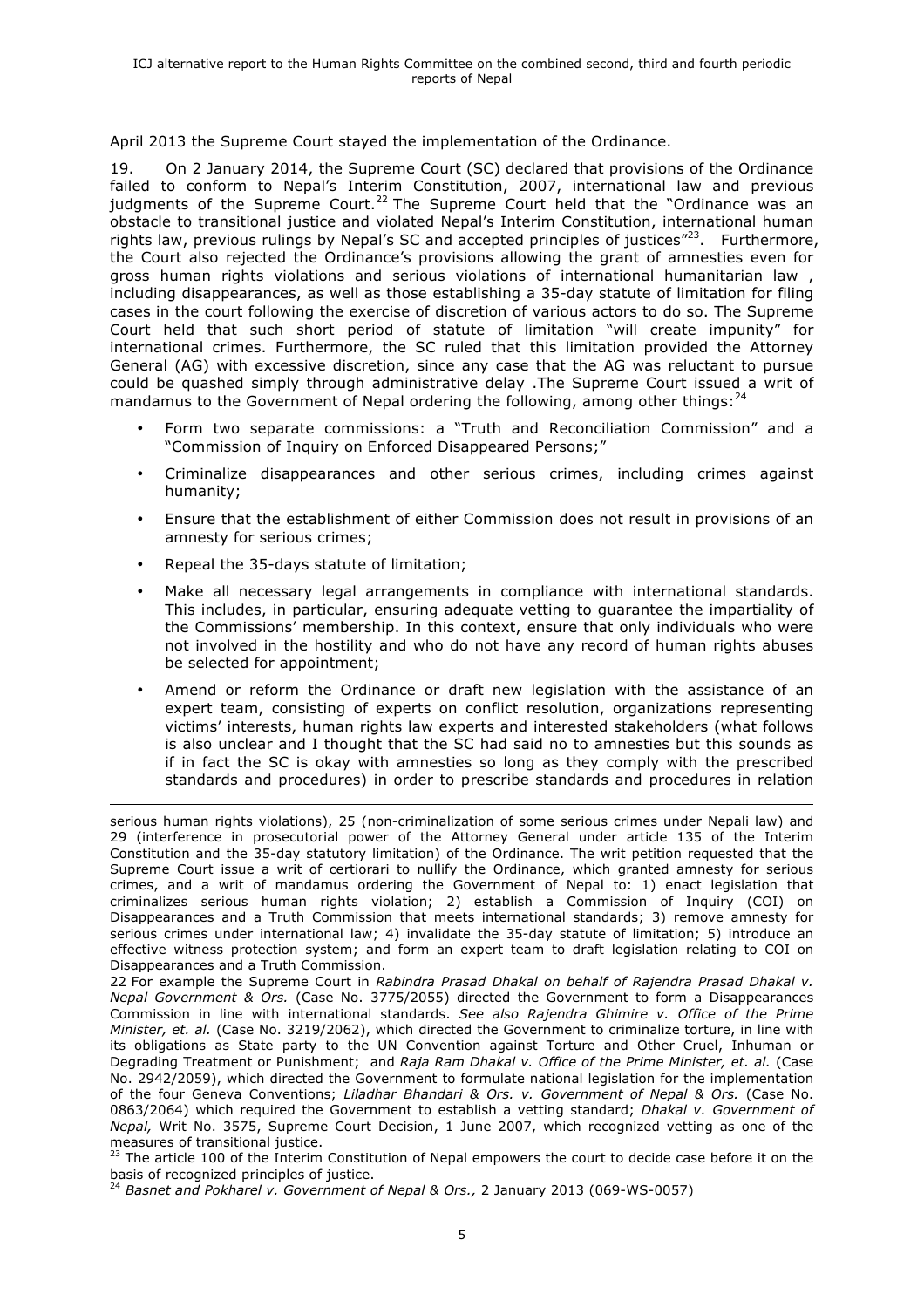April 2013 the Supreme Court stayed the implementation of the Ordinance.

19. On 2 January 2014, the Supreme Court (SC) declared that provisions of the Ordinance failed to conform to Nepal's Interim Constitution, 2007, international law and previous judgments of the Supreme Court.<sup>22</sup> The Supreme Court held that the "Ordinance was an obstacle to transitional justice and violated Nepal's Interim Constitution, international human rights law, previous rulings by Nepal's SC and accepted principles of justices $^{\prime\prime\prime}^{23}$ . Furthermore, the Court also rejected the Ordinance's provisions allowing the grant of amnesties even for gross human rights violations and serious violations of international humanitarian law , including disappearances, as well as those establishing a 35-day statute of limitation for filing cases in the court following the exercise of discretion of various actors to do so. The Supreme Court held that such short period of statute of limitation "will create impunity" for international crimes. Furthermore, the SC ruled that this limitation provided the Attorney General (AG) with excessive discretion, since any case that the AG was reluctant to pursue could be quashed simply through administrative delay .The Supreme Court issued a writ of mandamus to the Government of Nepal ordering the following, among other things:  $^{24}$ 

- Form two separate commissions: a "Truth and Reconciliation Commission" and a "Commission of Inquiry on Enforced Disappeared Persons;"
- Criminalize disappearances and other serious crimes, including crimes against humanity;
- Ensure that the establishment of either Commission does not result in provisions of an amnesty for serious crimes;
- Repeal the 35-days statute of limitation;
- Make all necessary legal arrangements in compliance with international standards. This includes, in particular, ensuring adequate vetting to guarantee the impartiality of the Commissions' membership. In this context, ensure that only individuals who were not involved in the hostility and who do not have any record of human rights abuses be selected for appointment;
- Amend or reform the Ordinance or draft new legislation with the assistance of an expert team, consisting of experts on conflict resolution, organizations representing victims' interests, human rights law experts and interested stakeholders (what follows is also unclear and I thought that the SC had said no to amnesties but this sounds as if in fact the SC is okay with amnesties so long as they comply with the prescribed standards and procedures) in order to prescribe standards and procedures in relation

<sup>&</sup>lt;u> 1989 - Andrea Barbara, amerikan personal dan personal dan personal dan personal dan personal dan personal da</u> serious human rights violations), 25 (non-criminalization of some serious crimes under Nepali law) and 29 (interference in prosecutorial power of the Attorney General under article 135 of the Interim Constitution and the 35-day statutory limitation) of the Ordinance. The writ petition requested that the Supreme Court issue a writ of certiorari to nullify the Ordinance, which granted amnesty for serious crimes, and a writ of mandamus ordering the Government of Nepal to: 1) enact legislation that criminalizes serious human rights violation; 2) establish a Commission of Inquiry (COI) on Disappearances and a Truth Commission that meets international standards; 3) remove amnesty for serious crimes under international law; 4) invalidate the 35-day statute of limitation; 5) introduce an effective witness protection system; and form an expert team to draft legislation relating to COI on Disappearances and a Truth Commission.

<sup>22</sup> For example the Supreme Court in *Rabindra Prasad Dhakal on behalf of Rajendra Prasad Dhakal v. Nepal Government & Ors.* (Case No. 3775/2055) directed the Government to form a Disappearances Commission in line with international standards. *See also Rajendra Ghimire v. Office of the Prime Minister, et. al.* (Case No. 3219/2062), which directed the Government to criminalize torture, in line with its obligations as State party to the UN Convention against Torture and Other Cruel, Inhuman or Degrading Treatment or Punishment; and *Raja Ram Dhakal v. Office of the Prime Minister, et. al.* (Case No. 2942/2059), which directed the Government to formulate national legislation for the implementation of the four Geneva Conventions; *Liladhar Bhandari & Ors. v. Government of Nepal & Ors.* (Case No. 0863/2064) which required the Government to establish a vetting standard; *Dhakal v. Government of Nepal,* Writ No. 3575, Supreme Court Decision, 1 June 2007, which recognized vetting as one of the measures of transitional justice.

<sup>&</sup>lt;sup>23</sup> The article 100 of the Interim Constitution of Nepal empowers the court to decide case before it on the basis of recognized principles of justice.<br><sup>24</sup> Basnet and Pokharel v. Government of Nepal & Ors., 2 January 2013 (069-WS-0057)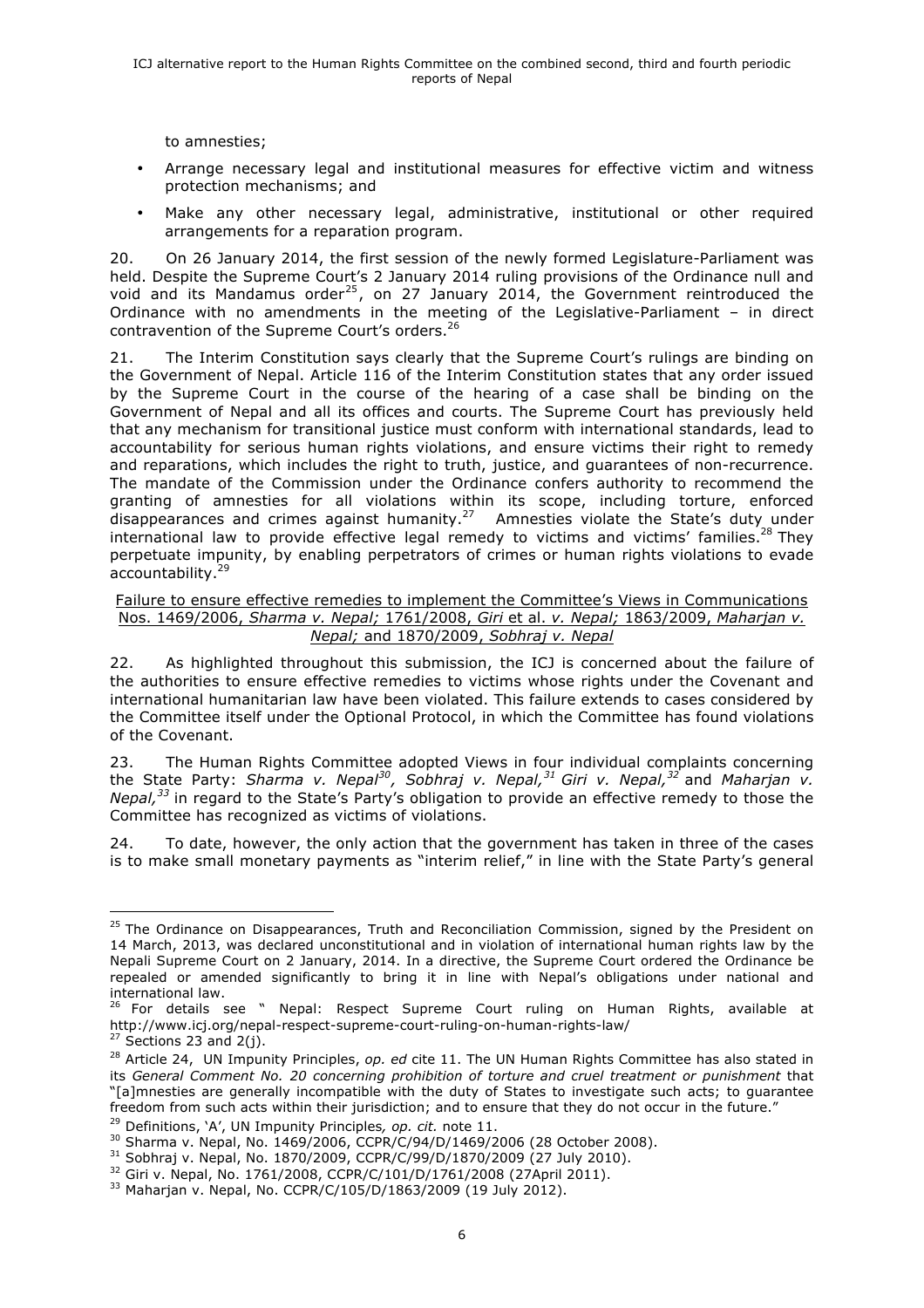to amnesties;

- Arrange necessary legal and institutional measures for effective victim and witness protection mechanisms; and
- Make any other necessary legal, administrative, institutional or other required arrangements for a reparation program.

20. On 26 January 2014, the first session of the newly formed Legislature-Parliament was held. Despite the Supreme Court's 2 January 2014 ruling provisions of the Ordinance null and void and its Mandamus order<sup>25</sup>, on 27 January 2014, the Government reintroduced the Ordinance with no amendments in the meeting of the Legislative-Parliament – in direct contravention of the Supreme Court's orders.<sup>26</sup>

21. The Interim Constitution says clearly that the Supreme Court's rulings are binding on the Government of Nepal. Article 116 of the Interim Constitution states that any order issued by the Supreme Court in the course of the hearing of a case shall be binding on the Government of Nepal and all its offices and courts. The Supreme Court has previously held that any mechanism for transitional justice must conform with international standards, lead to accountability for serious human rights violations, and ensure victims their right to remedy and reparations, which includes the right to truth, justice, and guarantees of non-recurrence. The mandate of the Commission under the Ordinance confers authority to recommend the granting of amnesties for all violations within its scope, including torture, enforced disappearances and crimes against humanity.<sup>27</sup> Amnesties violate the State's duty under international law to provide effective legal remedy to victims and victims' families.<sup>28</sup> They perpetuate impunity, by enabling perpetrators of crimes or human rights violations to evade accountability.<sup>29</sup>

#### Failure to ensure effective remedies to implement the Committee's Views in Communications Nos. 1469/2006, *Sharma v. Nepal;* 1761/2008, *Giri* et al. *v. Nepal;* 1863/2009, *Maharjan v. Nepal;* and 1870/2009, *Sobhraj v. Nepal*

22. As highlighted throughout this submission, the ICJ is concerned about the failure of the authorities to ensure effective remedies to victims whose rights under the Covenant and international humanitarian law have been violated. This failure extends to cases considered by the Committee itself under the Optional Protocol, in which the Committee has found violations of the Covenant.

23. The Human Rights Committee adopted Views in four individual complaints concerning the State Party: *Sharma v. Nepal30, Sobhraj v. Nepal,31 Giri v. Nepal,<sup>32</sup>* and *Maharjan v. Nepal,<sup>33</sup>* in regard to the State's Party's obligation to provide an effective remedy to those the Committee has recognized as victims of violations.

24. To date, however, the only action that the government has taken in three of the cases is to make small monetary payments as "interim relief," in line with the State Party's general

<sup>&</sup>lt;sup>25</sup> The Ordinance on Disappearances, Truth and Reconciliation Commission, signed by the President on 14 March, 2013, was declared unconstitutional and in violation of international human rights law by the Nepali Supreme Court on 2 January, 2014. In a directive, the Supreme Court ordered the Ordinance be repealed or amended significantly to bring it in line with Nepal's obligations under national and international law.

<sup>&</sup>lt;sup>26</sup> For details see " Nepal: Respect Supreme Court ruling on Human Rights, available at http://www.icj.org/nepal-respect-supreme-court-ruling-on-human-rights-law/

 $27$  Sections 23 and 2(j).

<sup>28</sup> Article 24, UN Impunity Principles, *op. ed* cite 11. The UN Human Rights Committee has also stated in its *General Comment No. 20 concerning prohibition of torture and cruel treatment or punishment* that "[a]mnesties are generally incompatible with the duty of States to investigate such acts; to guarantee freedom from such acts within their jurisdiction; and to ensure that they do not occur in the future."

<sup>&</sup>lt;sup>29</sup> Definitions, `A', UN Impunity Principles, op. cit. note 11.<br><sup>30</sup> Sharma v. Nepal, No. 1469/2006, CCPR/C/94/D/1469/2006 (28 October 2008).

<sup>&</sup>lt;sup>31</sup> Sobhraj v. Nepal, No. 1870/2009, CCPR/C/99/D/1870/2009 (27 July 2010). <sup>32</sup> Giri v. Nepal, No. 1761/2008, CCPR/C/101/D/1761/2008 (27April 2011).

<sup>33</sup> Maharjan v. Nepal, No. CCPR/C/105/D/1863/2009 (19 July 2012).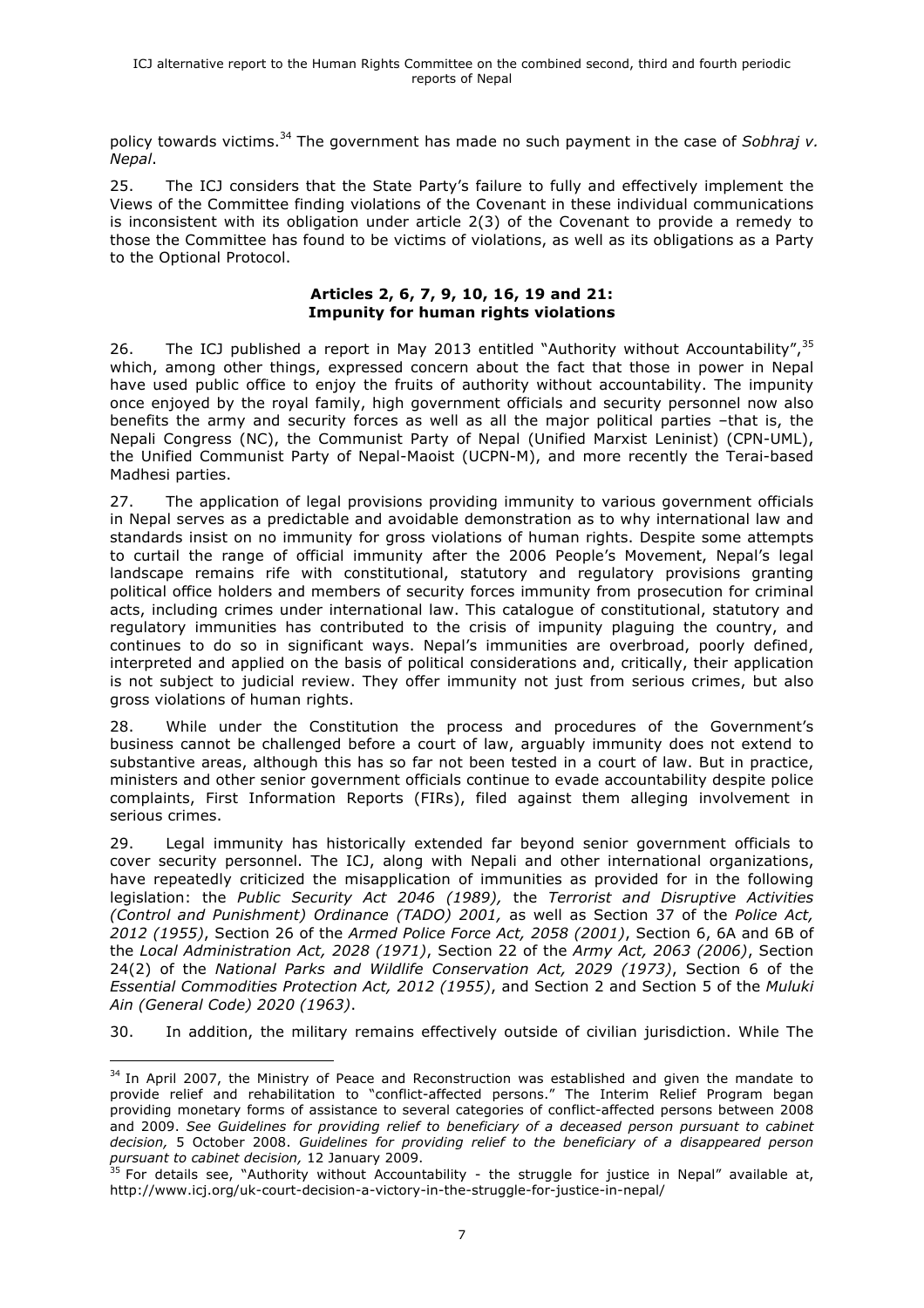policy towards victims. <sup>34</sup> The government has made no such payment in the case of *Sobhraj v. Nepal*.

25. The ICJ considers that the State Party's failure to fully and effectively implement the Views of the Committee finding violations of the Covenant in these individual communications is inconsistent with its obligation under article 2(3) of the Covenant to provide a remedy to those the Committee has found to be victims of violations, as well as its obligations as a Party to the Optional Protocol.

#### **Articles 2, 6, 7, 9, 10, 16, 19 and 21: Impunity for human rights violations**

26. The ICJ published a report in May 2013 entitled "Authority without Accountability",<sup>35</sup> which, among other things, expressed concern about the fact that those in power in Nepal have used public office to enjoy the fruits of authority without accountability. The impunity once enjoyed by the royal family, high government officials and security personnel now also benefits the army and security forces as well as all the major political parties –that is, the Nepali Congress (NC), the Communist Party of Nepal (Unified Marxist Leninist) (CPN-UML), the Unified Communist Party of Nepal-Maoist (UCPN-M), and more recently the Terai-based Madhesi parties.

27. The application of legal provisions providing immunity to various government officials in Nepal serves as a predictable and avoidable demonstration as to why international law and standards insist on no immunity for gross violations of human rights. Despite some attempts to curtail the range of official immunity after the 2006 People's Movement, Nepal's legal landscape remains rife with constitutional, statutory and regulatory provisions granting political office holders and members of security forces immunity from prosecution for criminal acts, including crimes under international law. This catalogue of constitutional, statutory and regulatory immunities has contributed to the crisis of impunity plaguing the country, and continues to do so in significant ways. Nepal's immunities are overbroad, poorly defined, interpreted and applied on the basis of political considerations and, critically, their application is not subject to judicial review. They offer immunity not just from serious crimes, but also gross violations of human rights.

28. While under the Constitution the process and procedures of the Government's business cannot be challenged before a court of law, arguably immunity does not extend to substantive areas, although this has so far not been tested in a court of law. But in practice, ministers and other senior government officials continue to evade accountability despite police complaints, First Information Reports (FIRs), filed against them alleging involvement in serious crimes.

29. Legal immunity has historically extended far beyond senior government officials to cover security personnel. The ICJ, along with Nepali and other international organizations, have repeatedly criticized the misapplication of immunities as provided for in the following legislation: the *Public Security Act 2046 (1989),* the *Terrorist and Disruptive Activities (Control and Punishment) Ordinance (TADO) 2001,* as well as Section 37 of the *Police Act, 2012 (1955)*, Section 26 of the *Armed Police Force Act, 2058 (2001)*, Section 6, 6A and 6B of the *Local Administration Act, 2028 (1971)*, Section 22 of the *Army Act, 2063 (2006)*, Section 24(2) of the *National Parks and Wildlife Conservation Act, 2029 (1973)*, Section 6 of the *Essential Commodities Protection Act, 2012 (1955)*, and Section 2 and Section 5 of the *Muluki Ain (General Code) 2020 (1963)*.

30. In addition, the military remains effectively outside of civilian jurisdiction. While The

  $34$  In April 2007, the Ministry of Peace and Reconstruction was established and given the mandate to provide relief and rehabilitation to "conflict-affected persons." The Interim Relief Program began providing monetary forms of assistance to several categories of conflict-affected persons between 2008 and 2009. *See Guidelines for providing relief to beneficiary of a deceased person pursuant to cabinet decision,* 5 October 2008. *Guidelines for providing relief to the beneficiary of a disappeared person pursuant to cabinet decision,* 12 January 2009.

 $35$  For details see, "Authority without Accountability - the struggle for justice in Nepal" available at, http://www.icj.org/uk-court-decision-a-victory-in-the-struggle-for-justice-in-nepal/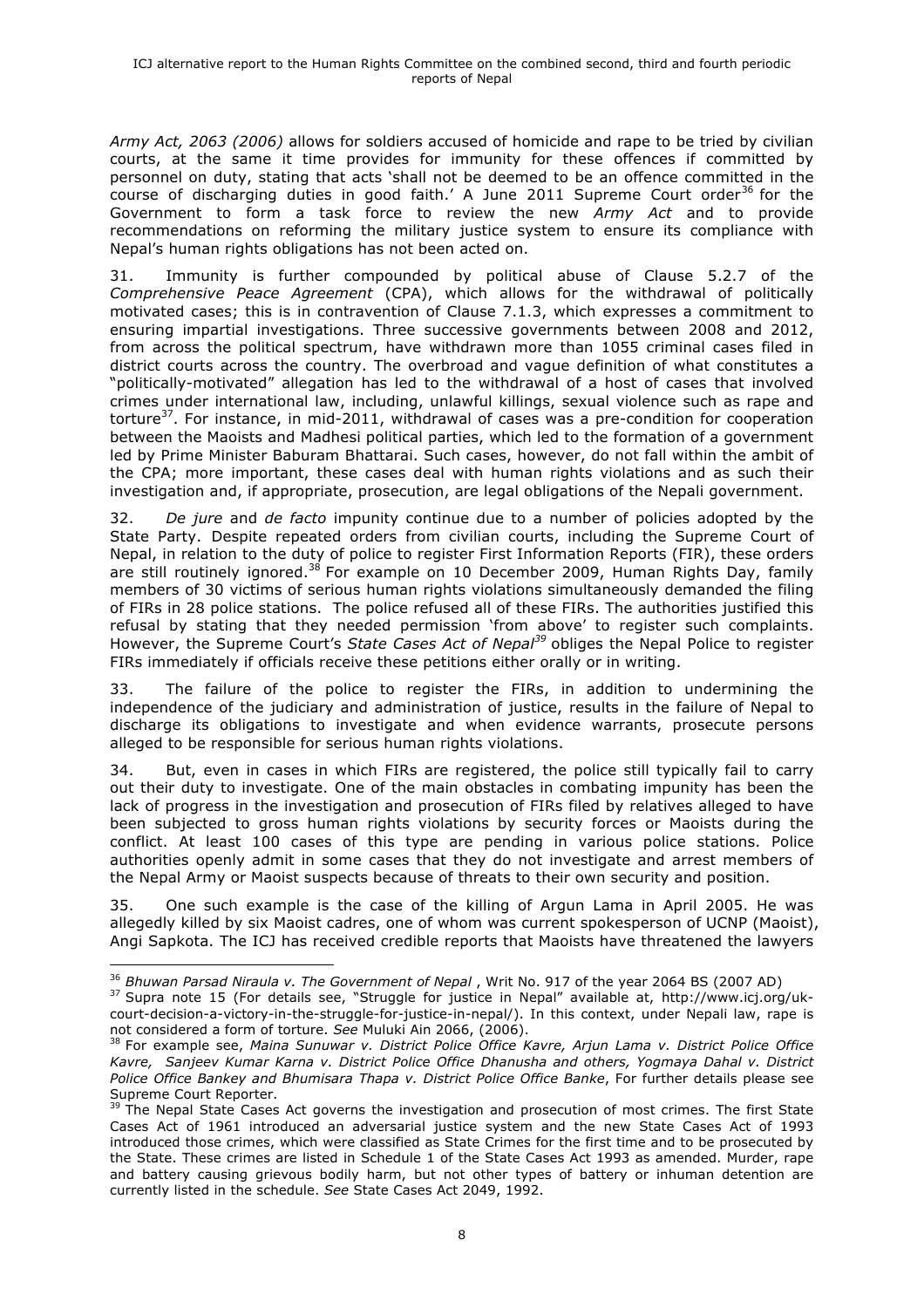*Army Act, 2063 (2006)* allows for soldiers accused of homicide and rape to be tried by civilian courts, at the same it time provides for immunity for these offences if committed by personnel on duty, stating that acts 'shall not be deemed to be an offence committed in the course of discharging duties in good faith.' A June 2011 Supreme Court order<sup>36</sup> for the Government to form a task force to review the new *Army Act* and to provide recommendations on reforming the military justice system to ensure its compliance with Nepal's human rights obligations has not been acted on.

31. Immunity is further compounded by political abuse of Clause 5.2.7 of the *Comprehensive Peace Agreement* (CPA), which allows for the withdrawal of politically motivated cases; this is in contravention of Clause 7.1.3, which expresses a commitment to ensuring impartial investigations. Three successive governments between 2008 and 2012, from across the political spectrum, have withdrawn more than 1055 criminal cases filed in district courts across the country. The overbroad and vague definition of what constitutes a "politically-motivated" allegation has led to the withdrawal of a host of cases that involved crimes under international law, including, unlawful killings, sexual violence such as rape and torture<sup>37</sup>. For instance, in mid-2011, withdrawal of cases was a pre-condition for cooperation between the Maoists and Madhesi political parties, which led to the formation of a government led by Prime Minister Baburam Bhattarai. Such cases, however, do not fall within the ambit of the CPA; more important, these cases deal with human rights violations and as such their investigation and, if appropriate, prosecution, are legal obligations of the Nepali government.

32. *De jure* and *de facto* impunity continue due to a number of policies adopted by the State Party. Despite repeated orders from civilian courts, including the Supreme Court of Nepal, in relation to the duty of police to register First Information Reports (FIR), these orders are still routinely ignored.<sup>38</sup> For example on 10 December 2009, Human Rights Day, family members of 30 victims of serious human rights violations simultaneously demanded the filing of FIRs in 28 police stations. The police refused all of these FIRs. The authorities justified this refusal by stating that they needed permission 'from above' to register such complaints. However, the Supreme Court's *State Cases Act of Nepal<sup>39</sup>* obliges the Nepal Police to register FIRs immediately if officials receive these petitions either orally or in writing.

33. The failure of the police to register the FIRs, in addition to undermining the independence of the judiciary and administration of justice, results in the failure of Nepal to discharge its obligations to investigate and when evidence warrants, prosecute persons alleged to be responsible for serious human rights violations.

34. But, even in cases in which FIRs are registered, the police still typically fail to carry out their duty to investigate. One of the main obstacles in combating impunity has been the lack of progress in the investigation and prosecution of FIRs filed by relatives alleged to have been subjected to gross human rights violations by security forces or Maoists during the conflict. At least 100 cases of this type are pending in various police stations. Police authorities openly admit in some cases that they do not investigate and arrest members of the Nepal Army or Maoist suspects because of threats to their own security and position.

35. One such example is the case of the killing of Argun Lama in April 2005. He was allegedly killed by six Maoist cadres, one of whom was current spokesperson of UCNP (Maoist), Angi Sapkota. The ICJ has received credible reports that Maoists have threatened the lawyers

 <sup>36</sup> *Bhuwan Parsad Niraula v. The Government of Nepal*, Writ No. 917 of the year 2064 BS (2007 AD) <sup>37</sup> Supra note 15 (For details see, "Struggle for justice in Nepal" available at, http://www.icj.org/uk-

court-decision-a-victory-in-the-struggle-for-justice-in-nepal/). In this context, under Nepali law, rape is not considered a form of torture. See Muluki Ain 2066, (2006).

<sup>&</sup>lt;sup>38</sup> For example see, Maina Sunuwar v. District Police Office Kavre, Arjun Lama v. District Police Office *Kavre, Sanjeev Kumar Karna v. District Police Office Dhanusha and others, Yogmaya Dahal v. District Police Office Bankey and Bhumisara Thapa v. District Police Office Banke*, For further details please see Supreme Court Reporter.

<sup>&</sup>lt;sup>39</sup> The Nepal State Cases Act governs the investigation and prosecution of most crimes. The first State Cases Act of 1961 introduced an adversarial justice system and the new State Cases Act of 1993 introduced those crimes, which were classified as State Crimes for the first time and to be prosecuted by the State. These crimes are listed in Schedule 1 of the State Cases Act 1993 as amended. Murder, rape and battery causing grievous bodily harm, but not other types of battery or inhuman detention are currently listed in the schedule. *See* State Cases Act 2049, 1992.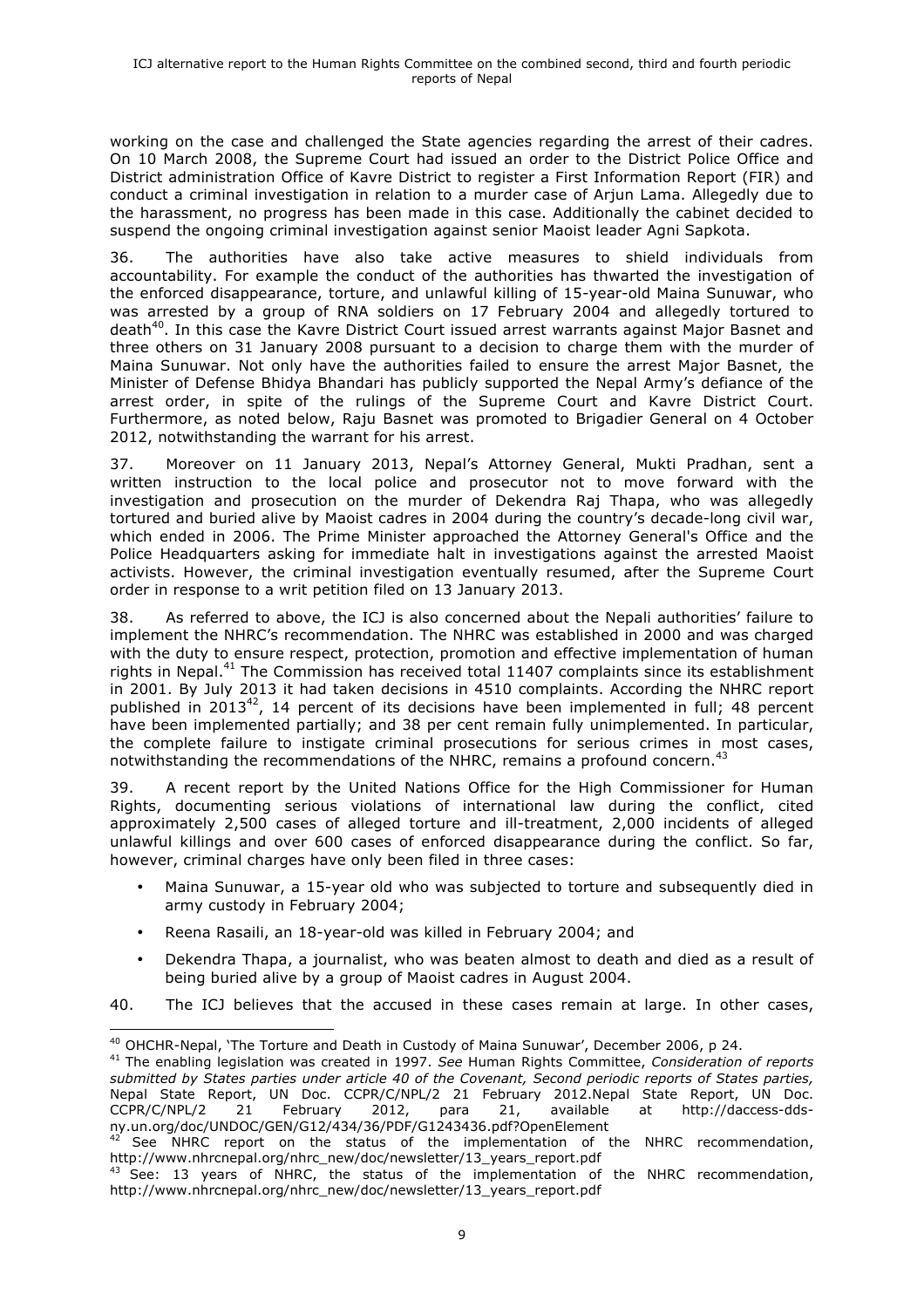working on the case and challenged the State agencies regarding the arrest of their cadres. On 10 March 2008, the Supreme Court had issued an order to the District Police Office and District administration Office of Kavre District to register a First Information Report (FIR) and conduct a criminal investigation in relation to a murder case of Arjun Lama. Allegedly due to the harassment, no progress has been made in this case. Additionally the cabinet decided to suspend the ongoing criminal investigation against senior Maoist leader Agni Sapkota.

36. The authorities have also take active measures to shield individuals from accountability. For example the conduct of the authorities has thwarted the investigation of the enforced disappearance, torture, and unlawful killing of 15-year-old Maina Sunuwar, who was arrested by a group of RNA soldiers on 17 February 2004 and allegedly tortured to death<sup>40</sup>. In this case the Kavre District Court issued arrest warrants against Major Basnet and three others on 31 January 2008 pursuant to a decision to charge them with the murder of Maina Sunuwar. Not only have the authorities failed to ensure the arrest Major Basnet, the Minister of Defense Bhidya Bhandari has publicly supported the Nepal Army's defiance of the arrest order, in spite of the rulings of the Supreme Court and Kavre District Court. Furthermore, as noted below, Raju Basnet was promoted to Brigadier General on 4 October 2012, notwithstanding the warrant for his arrest.

37. Moreover on 11 January 2013, Nepal's Attorney General, Mukti Pradhan, sent a written instruction to the local police and prosecutor not to move forward with the investigation and prosecution on the murder of Dekendra Raj Thapa, who was allegedly tortured and buried alive by Maoist cadres in 2004 during the country's decade-long civil war, which ended in 2006. The Prime Minister approached the Attorney General's Office and the Police Headquarters asking for immediate halt in investigations against the arrested Maoist activists. However, the criminal investigation eventually resumed, after the Supreme Court order in response to a writ petition filed on 13 January 2013.

38. As referred to above, the ICJ is also concerned about the Nepali authorities' failure to implement the NHRC's recommendation. The NHRC was established in 2000 and was charged with the duty to ensure respect, protection, promotion and effective implementation of human rights in Nepal.41 The Commission has received total 11407 complaints since its establishment in 2001. By July 2013 it had taken decisions in 4510 complaints. According the NHRC report published in 2013<sup>42</sup>, 14 percent of its decisions have been implemented in full; 48 percent have been implemented partially; and 38 per cent remain fully unimplemented. In particular, the complete failure to instigate criminal prosecutions for serious crimes in most cases, notwithstanding the recommendations of the NHRC, remains a profound concern.<sup>43</sup>

39. A recent report by the United Nations Office for the High Commissioner for Human Rights, documenting serious violations of international law during the conflict, cited approximately 2,500 cases of alleged torture and ill-treatment, 2,000 incidents of alleged unlawful killings and over 600 cases of enforced disappearance during the conflict. So far, however, criminal charges have only been filed in three cases:

- Maina Sunuwar, a 15-year old who was subjected to torture and subsequently died in army custody in February 2004;
- Reena Rasaili, an 18-year-old was killed in February 2004; and
- Dekendra Thapa, a journalist, who was beaten almost to death and died as a result of being buried alive by a group of Maoist cadres in August 2004.
- 40. The ICJ believes that the accused in these cases remain at large. In other cases,

 <sup>40</sup> OHCHR-Nepal, 'The Torture and Death in Custody of Maina Sunuwar', December 2006, p 24.

<sup>41</sup> The enabling legislation was created in 1997. *See* Human Rights Committee, *Consideration of reports submitted by States parties under article 40 of the Covenant, Second periodic reports of States parties,*  Nepal State Report, UN Doc. CCPR/C/NPL/2 21 February 2012.Nepal State Report, UN Doc.<br>CCPR/C/NPL/2 21 February 2012, para 21, available at http://daccess-dds-CCPR/C/NPL/2 21 February 2012, para 21, available at http://daccess-ddsny.un.org/doc/UNDOC/GEN/G12/434/36/PDF/G1243436.pdf?OpenElement

See NHRC report on the status of the implementation of the NHRC recommendation, http://www.nhrcnepal.org/nhrc\_new/doc/newsletter/13\_years\_report.pdf

 $43$  See: 13 years of NHRC, the status of the implementation of the NHRC recommendation, http://www.nhrcnepal.org/nhrc\_new/doc/newsletter/13\_years\_report.pdf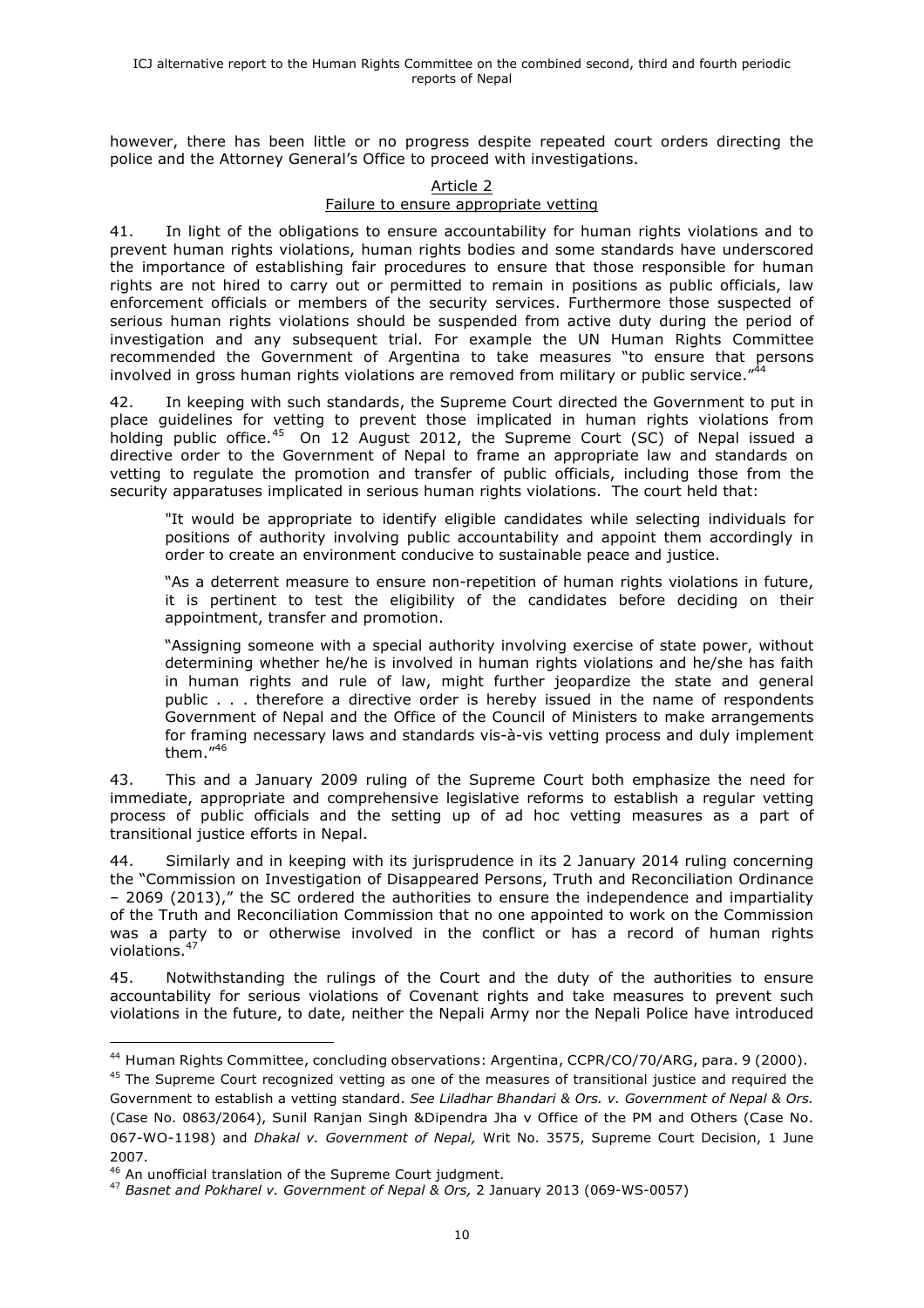however, there has been little or no progress despite repeated court orders directing the police and the Attorney General's Office to proceed with investigations.

#### Article 2

#### Failure to ensure appropriate vetting

41. In light of the obligations to ensure accountability for human rights violations and to prevent human rights violations, human rights bodies and some standards have underscored the importance of establishing fair procedures to ensure that those responsible for human rights are not hired to carry out or permitted to remain in positions as public officials, law enforcement officials or members of the security services. Furthermore those suspected of serious human rights violations should be suspended from active duty during the period of investigation and any subsequent trial. For example the UN Human Rights Committee recommended the Government of Argentina to take measures "to ensure that persons involved in gross human rights violations are removed from military or public service."<sup>44</sup>

42. In keeping with such standards, the Supreme Court directed the Government to put in place guidelines for vetting to prevent those implicated in human rights violations from holding public office.<sup>45</sup> On 12 August 2012, the Supreme Court (SC) of Nepal issued a directive order to the Government of Nepal to frame an appropriate law and standards on vetting to regulate the promotion and transfer of public officials, including those from the security apparatuses implicated in serious human rights violations. The court held that:

"It would be appropriate to identify eligible candidates while selecting individuals for positions of authority involving public accountability and appoint them accordingly in order to create an environment conducive to sustainable peace and justice.

"As a deterrent measure to ensure non-repetition of human rights violations in future, it is pertinent to test the eligibility of the candidates before deciding on their appointment, transfer and promotion.

"Assigning someone with a special authority involving exercise of state power, without determining whether he/he is involved in human rights violations and he/she has faith in human rights and rule of law, might further jeopardize the state and general public . . . therefore a directive order is hereby issued in the name of respondents Government of Nepal and the Office of the Council of Ministers to make arrangements for framing necessary laws and standards vis-à-vis vetting process and duly implement them."<sup>46</sup>

43. This and a January 2009 ruling of the Supreme Court both emphasize the need for immediate, appropriate and comprehensive legislative reforms to establish a regular vetting process of public officials and the setting up of ad hoc vetting measures as a part of transitional justice efforts in Nepal.

44. Similarly and in keeping with its jurisprudence in its 2 January 2014 ruling concerning the "Commission on Investigation of Disappeared Persons, Truth and Reconciliation Ordinance – 2069 (2013)," the SC ordered the authorities to ensure the independence and impartiality of the Truth and Reconciliation Commission that no one appointed to work on the Commission was a party to or otherwise involved in the conflict or has a record of human rights violations.<sup>47</sup>

45. Notwithstanding the rulings of the Court and the duty of the authorities to ensure accountability for serious violations of Covenant rights and take measures to prevent such violations in the future, to date, neither the Nepali Army nor the Nepali Police have introduced

<sup>&</sup>lt;sup>44</sup> Human Rights Committee, concluding observations: Argentina, CCPR/CO/70/ARG, para. 9 (2000).

<sup>&</sup>lt;sup>45</sup> The Supreme Court recognized vetting as one of the measures of transitional justice and required the Government to establish a vetting standard. *See Liladhar Bhandari & Ors. v. Government of Nepal & Ors.*  (Case No. 0863/2064), Sunil Ranjan Singh &Dipendra Jha v Office of the PM and Others (Case No. 067-WO-1198) and *Dhakal v. Government of Nepal,* Writ No. 3575, Supreme Court Decision, 1 June 2007.

<sup>46</sup> An unofficial translation of the Supreme Court judgment.

<sup>47</sup> *Basnet and Pokharel v. Government of Nepal & Ors,* 2 January 2013 (069-WS-0057)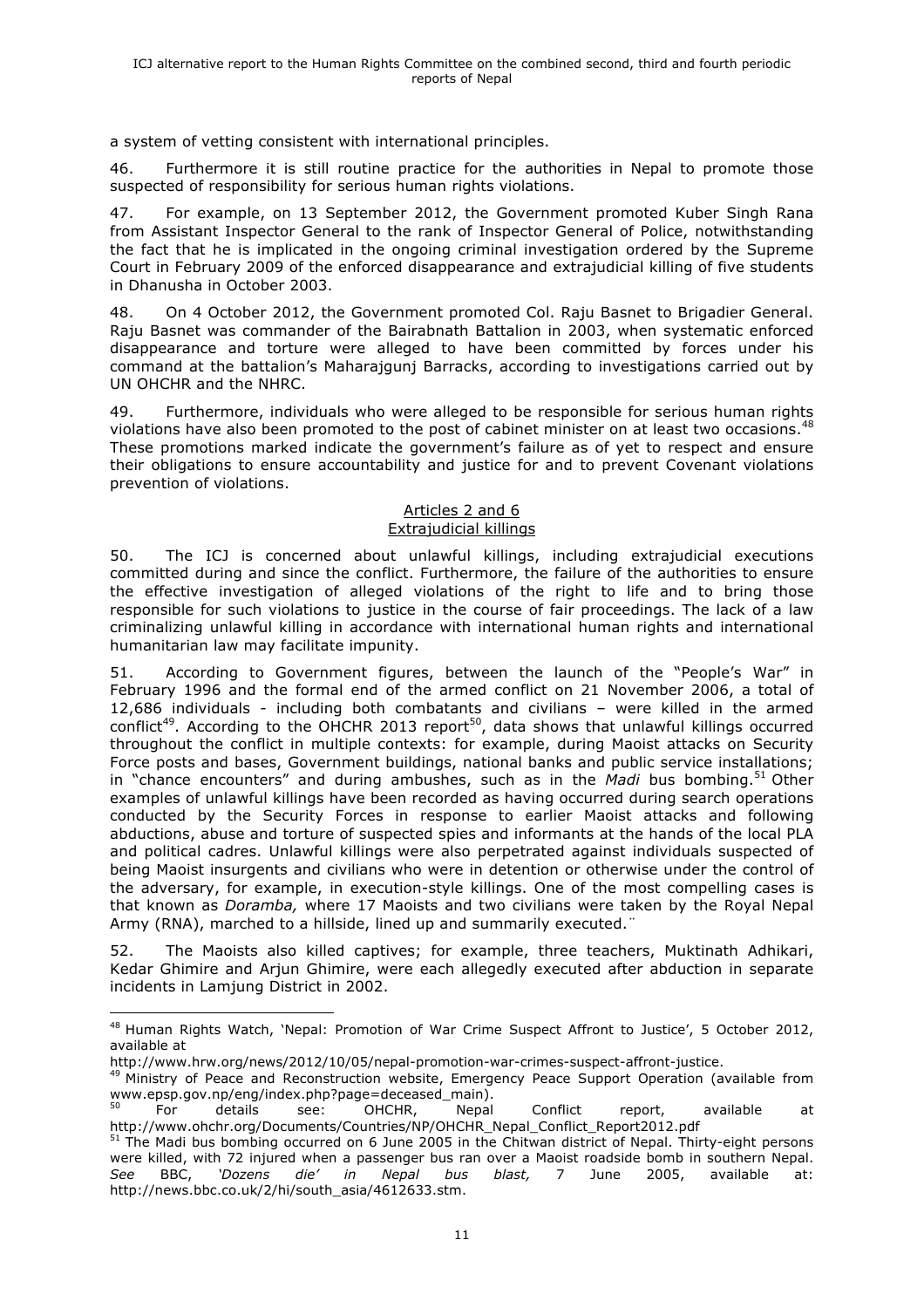a system of vetting consistent with international principles.

46. Furthermore it is still routine practice for the authorities in Nepal to promote those suspected of responsibility for serious human rights violations.

47. For example, on 13 September 2012, the Government promoted Kuber Singh Rana from Assistant Inspector General to the rank of Inspector General of Police, notwithstanding the fact that he is implicated in the ongoing criminal investigation ordered by the Supreme Court in February 2009 of the enforced disappearance and extrajudicial killing of five students in Dhanusha in October 2003.

48. On 4 October 2012, the Government promoted Col. Raju Basnet to Brigadier General. Raju Basnet was commander of the Bairabnath Battalion in 2003, when systematic enforced disappearance and torture were alleged to have been committed by forces under his command at the battalion's Maharajgunj Barracks, according to investigations carried out by UN OHCHR and the NHRC.

49. Furthermore, individuals who were alleged to be responsible for serious human rights violations have also been promoted to the post of cabinet minister on at least two occasions.<sup>48</sup> These promotions marked indicate the government's failure as of yet to respect and ensure their obligations to ensure accountability and justice for and to prevent Covenant violations prevention of violations.

#### Articles 2 and 6 Extrajudicial killings

50. The ICJ is concerned about unlawful killings, including extrajudicial executions committed during and since the conflict. Furthermore, the failure of the authorities to ensure the effective investigation of alleged violations of the right to life and to bring those responsible for such violations to justice in the course of fair proceedings. The lack of a law criminalizing unlawful killing in accordance with international human rights and international humanitarian law may facilitate impunity.

51. According to Government figures, between the launch of the "People's War" in February 1996 and the formal end of the armed conflict on 21 November 2006, a total of 12,686 individuals - including both combatants and civilians – were killed in the armed conflict<sup>49</sup>. According to the OHCHR 2013 report<sup>50</sup>, data shows that unlawful killings occurred throughout the conflict in multiple contexts: for example, during Maoist attacks on Security Force posts and bases, Government buildings, national banks and public service installations; in "chance encounters" and during ambushes, such as in the *Madi* bus bombing.<sup>51</sup> Other examples of unlawful killings have been recorded as having occurred during search operations conducted by the Security Forces in response to earlier Maoist attacks and following abductions, abuse and torture of suspected spies and informants at the hands of the local PLA and political cadres. Unlawful killings were also perpetrated against individuals suspected of being Maoist insurgents and civilians who were in detention or otherwise under the control of the adversary, for example, in execution-style killings. One of the most compelling cases is that known as *Doramba,* where 17 Maoists and two civilians were taken by the Royal Nepal Army (RNA), marched to a hillside, lined up and summarily executed.

52. The Maoists also killed captives; for example, three teachers, Muktinath Adhikari, Kedar Ghimire and Arjun Ghimire, were each allegedly executed after abduction in separate incidents in Lamjung District in 2002.

 

<sup>49</sup> Ministry of Peace and Reconstruction website, Emergency Peace Support Operation (available from www.epsp.gov.np/eng/index.php?page=deceased\_main).

<sup>&</sup>lt;sup>48</sup> Human Rights Watch, 'Nepal: Promotion of War Crime Suspect Affront to Justice', 5 October 2012, available at

http://www.hrw.org/news/2012/10/05/nepal-promotion-war-crimes-suspect-affront-justice.

<sup>&</sup>lt;sup>50</sup> For details see: OHCHR, Nepal Conflict report, available at http://www.ohchr.org/Documents/Countries/NP/OHCHR\_Nepal\_Conflict\_Report2012.pdf

<sup>51</sup> The Madi bus bombing occurred on 6 June 2005 in the Chitwan district of Nepal. Thirty-eight persons were killed, with 72 injured when a passenger bus ran over a Maoist roadside bomb in southern Nepal.<br>See BBC, 'Dozens die' in Nepal bus blast, 7 June 2005, available at: *See* BBC, *'Dozens die' in Nepal bus blast,* 7 June 2005, available at: http://news.bbc.co.uk/2/hi/south\_asia/4612633.stm.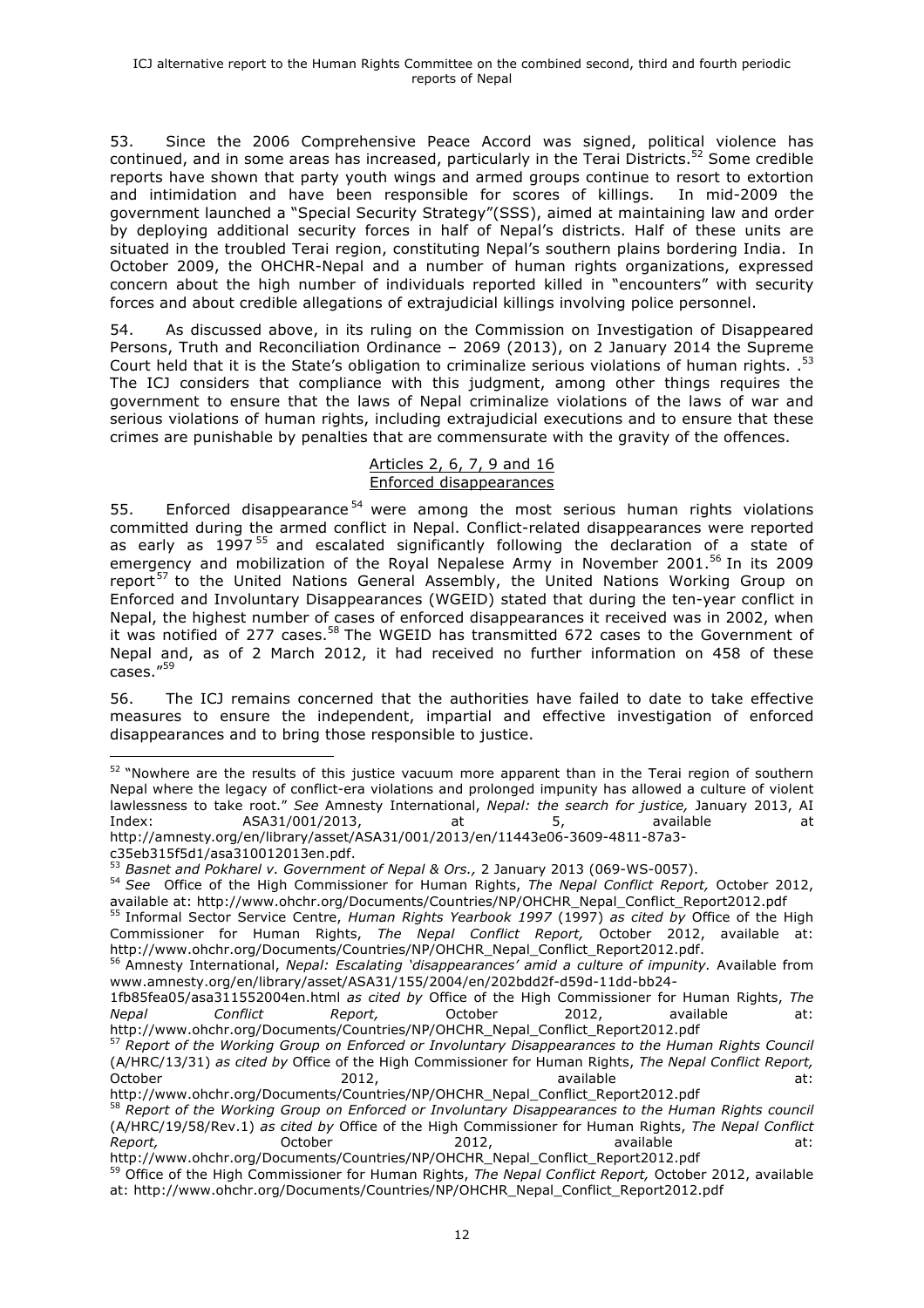53. Since the 2006 Comprehensive Peace Accord was signed, political violence has continued, and in some areas has increased, particularly in the Terai Districts.<sup>52</sup> Some credible reports have shown that party youth wings and armed groups continue to resort to extortion and intimidation and have been responsible for scores of killings. In mid-2009 the government launched a "Special Security Strategy"(SSS), aimed at maintaining law and order by deploying additional security forces in half of Nepal's districts. Half of these units are situated in the troubled Terai region, constituting Nepal's southern plains bordering India. In October 2009, the OHCHR-Nepal and a number of human rights organizations, expressed concern about the high number of individuals reported killed in "encounters" with security forces and about credible allegations of extrajudicial killings involving police personnel.

54. As discussed above, in its ruling on the Commission on Investigation of Disappeared Persons, Truth and Reconciliation Ordinance – 2069 (2013), on 2 January 2014 the Supreme Court held that it is the State's obligation to criminalize serious violations of human rights. .<sup>53</sup> The ICJ considers that compliance with this judgment, among other things requires the government to ensure that the laws of Nepal criminalize violations of the laws of war and serious violations of human rights, including extrajudicial executions and to ensure that these crimes are punishable by penalties that are commensurate with the gravity of the offences.

#### Articles 2, 6, 7, 9 and 16 Enforced disappearances

55. Enforced disappearance<sup>54</sup> were among the most serious human rights violations committed during the armed conflict in Nepal. Conflict-related disappearances were reported as early as 1997<sup>55</sup> and escalated significantly following the declaration of a state of emergency and mobilization of the Royal Nepalese Army in November 2001.<sup>56</sup> In its 2009 report<sup>57</sup> to the United Nations General Assembly, the United Nations Working Group on Enforced and Involuntary Disappearances (WGEID) stated that during the ten-year conflict in Nepal, the highest number of cases of enforced disappearances it received was in 2002, when it was notified of 277 cases.<sup>58</sup> The WGEID has transmitted 672 cases to the Government of Nepal and, as of 2 March 2012, it had received no further information on 458 of these  $cases."$ <sup>59</sup>

56. The ICJ remains concerned that the authorities have failed to date to take effective measures to ensure the independent, impartial and effective investigation of enforced disappearances and to bring those responsible to justice.

 

<sup>55</sup> Informal Sector Service Centre, *Human Rights Yearbook 1997* (1997) *as cited by* Office of the High Commissioner for Human Rights, *The Nepal Conflict Report,* October 2012, available at:

<sup>&</sup>lt;sup>52</sup> "Nowhere are the results of this justice vacuum more apparent than in the Terai region of southern Nepal where the legacy of conflict-era violations and prolonged impunity has allowed a culture of violent lawlessness to take root." *See* Amnesty International, *Nepal: the search for justice,* January 2013, AI Index: ASA31/001/2013, at 5, available at 5, available at http://amnesty.org/en/library/asset/ASA31/001/2013/en/11443e06-3609-4811-87a3-

c35eb315f5d1/asa310012013en.pdf.<br>
53 Basnet and Pokharel v. Government of Nepal & Ors., 2 January 2013 (069-WS-0057).

<sup>54</sup> See Office of the High Commissioner for Human Rights, *The Nepal Conflict Report*, October 2012, available at: http://www.ohchr.org/Documents/Countries/NP/OHCHR\_Nepal\_Conflict\_Report2012.pdf

<sup>&</sup>lt;sup>56</sup> Amnesty International, Nepal: Escalating 'disappearances' amid a culture of impunity. Available from www.amnesty.org/en/library/asset/ASA31/155/2004/en/202bdd2f-d59d-11dd-bb24-

<sup>1</sup>fb85fea05/asa311552004en.html *as cited by* Office of the High Commissioner for Human Rights, *The Nepal Conflict Report,* October 2012, available at: http://www.ohchr.org/Documents/Countries/NP/OHCHR\_Nepal\_Conflict\_Report2012.pdf

<sup>57</sup> *Report of the Working Group on Enforced or Involuntary Disappearances to the Human Rights Council* (A/HRC/13/31) *as cited by* Office of the High Commissioner for Human Rights, *The Nepal Conflict Report,* October 2012, available at:

http://www.ohchr.org/Documents/Countries/NP/OHCHR\_Nepal\_Conflict\_Report2012.pdf <sup>58</sup> *Report of the Working Group on Enforced or Involuntary Disappearances to the Human Rights council*  (A/HRC/19/58/Rev.1) *as cited by* Office of the High Commissioner for Human Rights, *The Nepal Conflict*  Report, and October 2012, available at:

http://www.ohchr.org/Documents/Countries/NP/OHCHR\_Nepal\_Conflict\_Report2012.pdf <sup>59</sup> Office of the High Commissioner for Human Rights, *The Nepal Conflict Report,* October 2012, available

at: http://www.ohchr.org/Documents/Countries/NP/OHCHR\_Nepal\_Conflict\_Report2012.pdf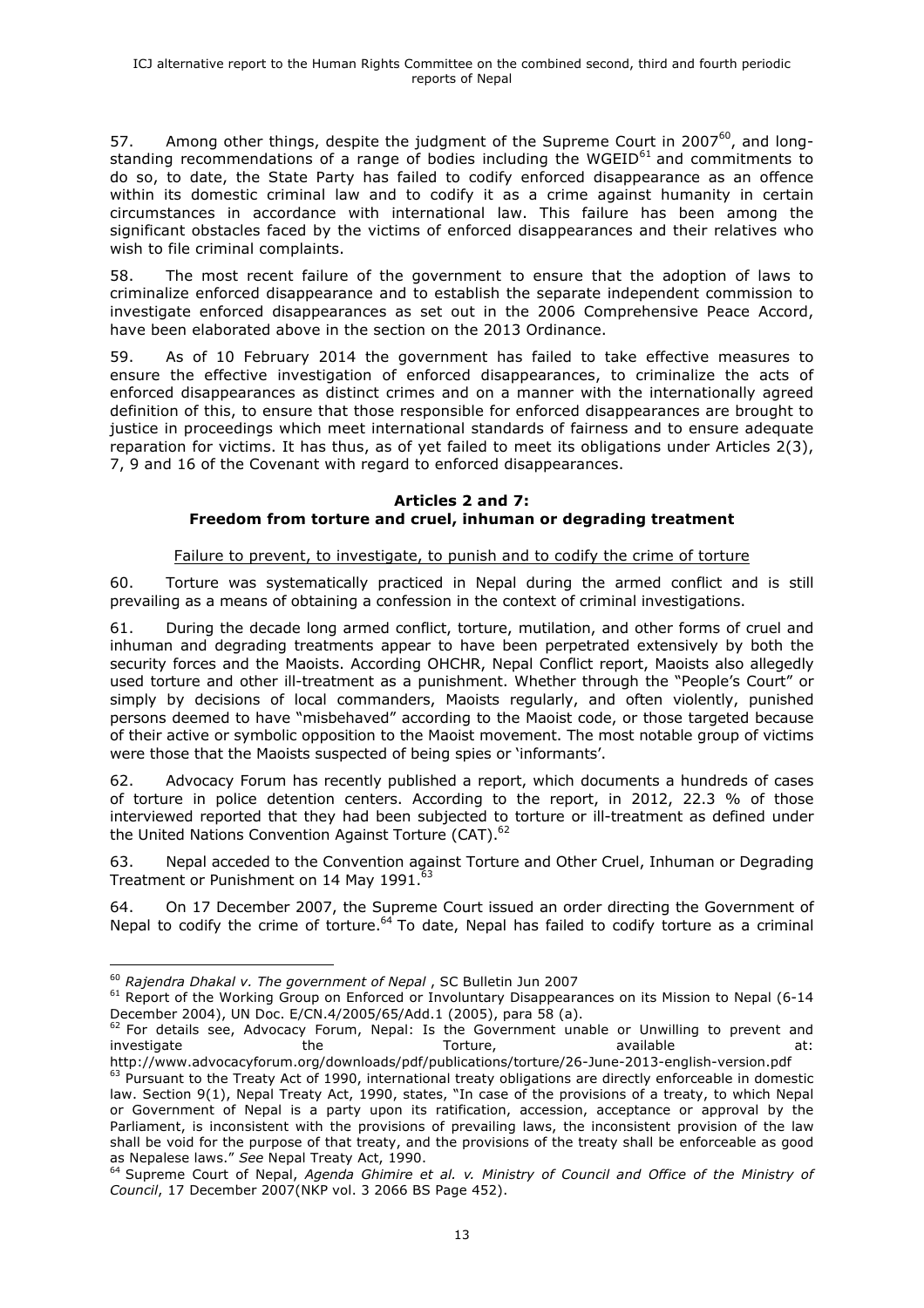57. Among other things, despite the judgment of the Supreme Court in 2007 $^{60}$ , and longstanding recommendations of a range of bodies including the WGEID $^{61}$  and commitments to do so, to date, the State Party has failed to codify enforced disappearance as an offence within its domestic criminal law and to codify it as a crime against humanity in certain circumstances in accordance with international law. This failure has been among the significant obstacles faced by the victims of enforced disappearances and their relatives who wish to file criminal complaints.

58. The most recent failure of the government to ensure that the adoption of laws to criminalize enforced disappearance and to establish the separate independent commission to investigate enforced disappearances as set out in the 2006 Comprehensive Peace Accord, have been elaborated above in the section on the 2013 Ordinance.

59. As of 10 February 2014 the government has failed to take effective measures to ensure the effective investigation of enforced disappearances, to criminalize the acts of enforced disappearances as distinct crimes and on a manner with the internationally agreed definition of this, to ensure that those responsible for enforced disappearances are brought to justice in proceedings which meet international standards of fairness and to ensure adequate reparation for victims. It has thus, as of yet failed to meet its obligations under Articles 2(3), 7, 9 and 16 of the Covenant with regard to enforced disappearances.

## **Articles 2 and 7: Freedom from torture and cruel, inhuman or degrading treatment**

# Failure to prevent, to investigate, to punish and to codify the crime of torture

60. Torture was systematically practiced in Nepal during the armed conflict and is still prevailing as a means of obtaining a confession in the context of criminal investigations.

61. During the decade long armed conflict, torture, mutilation, and other forms of cruel and inhuman and degrading treatments appear to have been perpetrated extensively by both the security forces and the Maoists. According OHCHR, Nepal Conflict report, Maoists also allegedly used torture and other ill-treatment as a punishment. Whether through the "People's Court" or simply by decisions of local commanders, Maoists regularly, and often violently, punished persons deemed to have "misbehaved" according to the Maoist code, or those targeted because of their active or symbolic opposition to the Maoist movement. The most notable group of victims were those that the Maoists suspected of being spies or 'informants'.

62. Advocacy Forum has recently published a report, which documents a hundreds of cases of torture in police detention centers. According to the report, in 2012, 22.3 % of those interviewed reported that they had been subjected to torture or ill-treatment as defined under the United Nations Convention Against Torture (CAT).<sup>62</sup>

63. Nepal acceded to the Convention against Torture and Other Cruel, Inhuman or Degrading Treatment or Punishment on 14 May 1991.<sup>63</sup>

64. On 17 December 2007, the Supreme Court issued an order directing the Government of Nepal to codify the crime of torture.<sup>64</sup> To date, Nepal has failed to codify torture as a criminal

<sup>&</sup>lt;sup>60</sup> Rajendra Dhakal v. The government of Nepal, SC Bulletin Jun 2007<br><sup>61</sup> Report of the Working Group on Enforced or Involuntary Disappearances on its Mission to Nepal (6-14 December 2004), UN Doc. E/CN.4/2005/65/Add.1 (2005), para 58 (a).

 $62$  For details see, Advocacy Forum, Nepal: Is the Government unable or Unwilling to prevent and investigate the the Torture, available at: http://www.advocacyforum.org/downloads/pdf/publications/torture/26-June-2013-english-version.pdf

 $63$  Pursuant to the Treaty Act of 1990, international treaty obligations are directly enforceable in domestic law. Section 9(1), Nepal Treaty Act, 1990, states, "In case of the provisions of a treaty, to which Nepal or Government of Nepal is a party upon its ratification, accession, acceptance or approval by the Parliament, is inconsistent with the provisions of prevailing laws, the inconsistent provision of the law shall be void for the purpose of that treaty, and the provisions of the treaty shall be enforceable as good as Nepalese laws." See Nepal Treaty Act, 1990.

<sup>&</sup>lt;sup>64</sup> Supreme Court of Nepal, Agenda Ghimire et al. v. Ministry of Council and Office of the Ministry of *Council*, 17 December 2007(NKP vol. 3 2066 BS Page 452).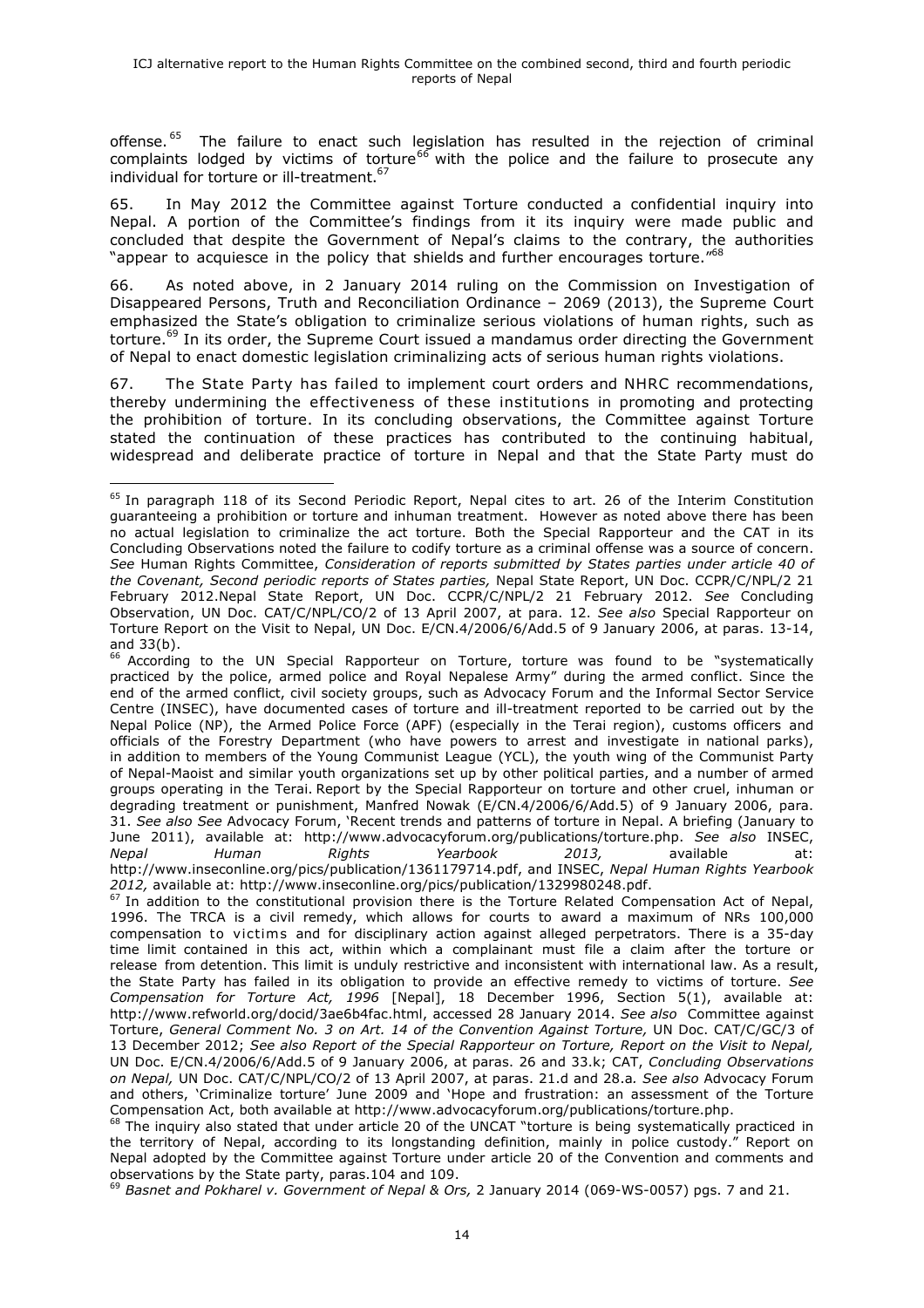offense.<sup>65</sup> The failure to enact such legislation has resulted in the rejection of criminal complaints lodged by victims of torture<sup>66</sup> with the police and the failure to prosecute any individual for torture or ill-treatment.<sup>67</sup>

65. In May 2012 the Committee against Torture conducted a confidential inquiry into Nepal. A portion of the Committee's findings from it its inquiry were made public and concluded that despite the Government of Nepal's claims to the contrary, the authorities "appear to acquiesce in the policy that shields and further encourages torture."<sup>68</sup>

66. As noted above, in 2 January 2014 ruling on the Commission on Investigation of Disappeared Persons, Truth and Reconciliation Ordinance – 2069 (2013), the Supreme Court emphasized the State's obligation to criminalize serious violations of human rights, such as torture.<sup>69</sup> In its order, the Supreme Court issued a mandamus order directing the Government of Nepal to enact domestic legislation criminalizing acts of serious human rights violations.

67. The State Party has failed to implement court orders and NHRC recommendations, thereby undermining the effectiveness of these institutions in promoting and protecting the prohibition of torture. In its concluding observations, the Committee against Torture stated the continuation of these practices has contributed to the continuing habitual, widespread and deliberate practice of torture in Nepal and that the State Party must do

 

<sup>66</sup> According to the UN Special Rapporteur on Torture, torture was found to be "systematically practiced by the police, armed police and Royal Nepalese Army" during the armed conflict. Since the end of the armed conflict, civil society groups, such as Advocacy Forum and the Informal Sector Service Centre (INSEC), have documented cases of torture and ill-treatment reported to be carried out by the Nepal Police (NP), the Armed Police Force (APF) (especially in the Terai region), customs officers and officials of the Forestry Department (who have powers to arrest and investigate in national parks), in addition to members of the Young Communist League (YCL), the youth wing of the Communist Party of Nepal-Maoist and similar youth organizations set up by other political parties, and a number of armed groups operating in the Terai. Report by the Special Rapporteur on torture and other cruel, inhuman or degrading treatment or punishment, Manfred Nowak (E/CN.4/2006/6/Add.5) of 9 January 2006, para. 31. *See also See* Advocacy Forum, 'Recent trends and patterns of torture in Nepal. A briefing (January to June 2011), available at: http://www.advocacyforum.org/publications/torture.php. *See also* INSEC, *Nepal Human Rights Yearbook 2013,* available at: http://www.inseconline.org/pics/publication/1361179714.pdf, and INSEC, *Nepal Human Rights Yearbook 2012,* available at: http://www.inseconline.org/pics/publication/1329980248.pdf.

<sup>69</sup> *Basnet and Pokharel v. Government of Nepal & Ors,* 2 January 2014 (069-WS-0057) pgs. 7 and 21.

<sup>&</sup>lt;sup>65</sup> In paragraph 118 of its Second Periodic Report, Nepal cites to art. 26 of the Interim Constitution guaranteeing a prohibition or torture and inhuman treatment. However as noted above there has been no actual legislation to criminalize the act torture. Both the Special Rapporteur and the CAT in its Concluding Observations noted the failure to codify torture as a criminal offense was a source of concern. *See* Human Rights Committee, *Consideration of reports submitted by States parties under article 40 of the Covenant, Second periodic reports of States parties,* Nepal State Report, UN Doc. CCPR/C/NPL/2 21 February 2012.Nepal State Report, UN Doc. CCPR/C/NPL/2 21 February 2012. *See* Concluding Observation, UN Doc. CAT/C/NPL/CO/2 of 13 April 2007, at para. 12. *See also* Special Rapporteur on Torture Report on the Visit to Nepal, UN Doc. E/CN.4/2006/6/Add.5 of 9 January 2006, at paras. 13-14, and 33(b).

 $67$  In addition to the constitutional provision there is the Torture Related Compensation Act of Nepal, 1996. The TRCA is a civil remedy, which allows for courts to award a maximum of NRs 100,000 compensation to victims and for disciplinary action against alleged perpetrators. There is a 35-day time limit contained in this act, within which a complainant must file a claim after the torture or release from detention. This limit is unduly restrictive and inconsistent with international law. As a result, the State Party has failed in its obligation to provide an effective remedy to victims of torture. *See Compensation for Torture Act, 1996* [Nepal], 18 December 1996, Section 5(1), available at: http://www.refworld.org/docid/3ae6b4fac.html, accessed 28 January 2014. *See also* Committee against Torture, *General Comment No. 3 on Art. 14 of the Convention Against Torture,* UN Doc. CAT/C/GC/3 of 13 December 2012; *See also Report of the Special Rapporteur on Torture, Report on the Visit to Nepal,*  UN Doc. E/CN.4/2006/6/Add.5 of 9 January 2006, at paras. 26 and 33.k; CAT, *Concluding Observations on Nepal,* UN Doc. CAT/C/NPL/CO/2 of 13 April 2007, at paras. 21.d and 28.a*. See also* Advocacy Forum and others, 'Criminalize torture' June 2009 and 'Hope and frustration: an assessment of the Torture Compensation Act, both available at http://www.advocacyforum.org/publications/torture.php.

 $<sup>68</sup>$  The inquiry also stated that under article 20 of the UNCAT "torture is being systematically practiced in</sup> the territory of Nepal, according to its longstanding definition, mainly in police custody." Report on Nepal adopted by the Committee against Torture under article 20 of the Convention and comments and observations by the State party, paras.104 and 109.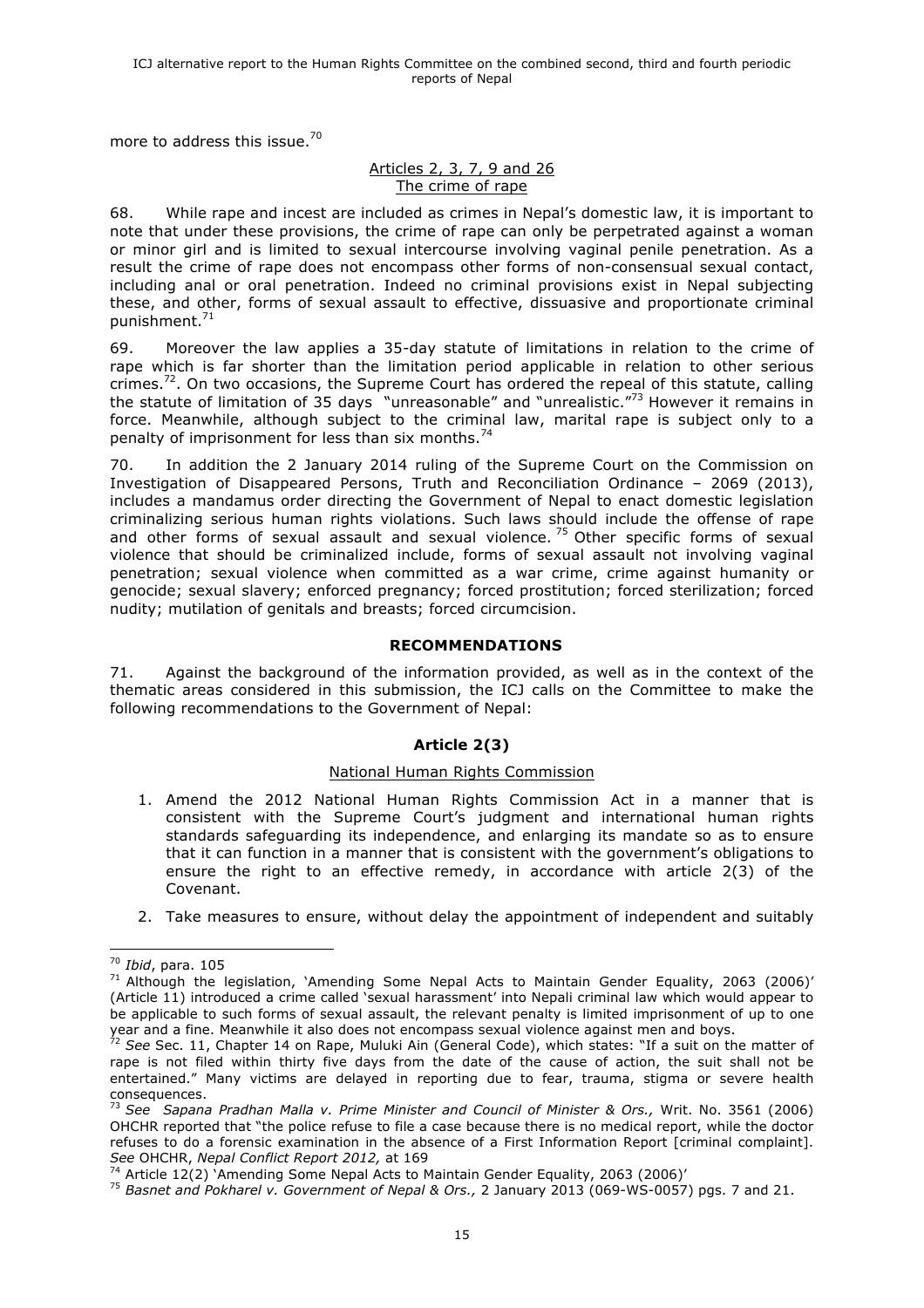more to address this issue.<sup>70</sup>

## Articles 2, 3, 7, 9 and 26 The crime of rape

68. While rape and incest are included as crimes in Nepal's domestic law, it is important to note that under these provisions, the crime of rape can only be perpetrated against a woman or minor girl and is limited to sexual intercourse involving vaginal penile penetration. As a result the crime of rape does not encompass other forms of non-consensual sexual contact, including anal or oral penetration. Indeed no criminal provisions exist in Nepal subjecting these, and other, forms of sexual assault to effective, dissuasive and proportionate criminal punishment.71

69. Moreover the law applies a 35-day statute of limitations in relation to the crime of rape which is far shorter than the limitation period applicable in relation to other serious crimes.<sup>72</sup>. On two occasions, the Supreme Court has ordered the repeal of this statute, calling the statute of limitation of 35 days "unreasonable" and "unrealistic."<sup>73</sup> However it remains in force. Meanwhile, although subject to the criminal law, marital rape is subject only to a penalty of imprisonment for less than six months.<sup>74</sup>

70. In addition the 2 January 2014 ruling of the Supreme Court on the Commission on Investigation of Disappeared Persons, Truth and Reconciliation Ordinance – 2069 (2013), includes a mandamus order directing the Government of Nepal to enact domestic legislation criminalizing serious human rights violations. Such laws should include the offense of rape and other forms of sexual assault and sexual violence.  $75$  Other specific forms of sexual violence that should be criminalized include, forms of sexual assault not involving vaginal penetration; sexual violence when committed as a war crime, crime against humanity or genocide; sexual slavery; enforced pregnancy; forced prostitution; forced sterilization; forced nudity; mutilation of genitals and breasts; forced circumcision.

# **RECOMMENDATIONS**

71. Against the background of the information provided, as well as in the context of the thematic areas considered in this submission, the ICJ calls on the Committee to make the following recommendations to the Government of Nepal:

# **Article 2(3)**

# National Human Rights Commission

- 1. Amend the 2012 National Human Rights Commission Act in a manner that is consistent with the Supreme Court's judgment and international human rights standards safeguarding its independence, and enlarging its mandate so as to ensure that it can function in a manner that is consistent with the government's obligations to ensure the right to an effective remedy, in accordance with article 2(3) of the Covenant.
- 2. Take measures to ensure, without delay the appointment of independent and suitably

 <sup>70</sup> *Ibid*, para. 105

 $71$  Although the legislation, 'Amending Some Nepal Acts to Maintain Gender Equality, 2063 (2006)' (Article 11) introduced a crime called 'sexual harassment' into Nepali criminal law which would appear to be applicable to such forms of sexual assault, the relevant penalty is limited imprisonment of up to one year and a fine. Meanwhile it also does not encompass sexual violence against men and boys.

<sup>72</sup> *See* Sec. 11, Chapter 14 on Rape, Muluki Ain (General Code), which states: "If a suit on the matter of rape is not filed within thirty five days from the date of the cause of action, the suit shall not be entertained." Many victims are delayed in reporting due to fear, trauma, stigma or severe health consequences.

<sup>73</sup> *See Sapana Pradhan Malla v. Prime Minister and Council of Minister & Ors.,* Writ. No. 3561 (2006) OHCHR reported that "the police refuse to file a case because there is no medical report, while the doctor refuses to do a forensic examination in the absence of a First Information Report [criminal complaint]. *See* OHCHR, *Nepal Conflict Report 2012,* at 169

 $74$  Article 12(2) 'Amending Some Nepal Acts to Maintain Gender Equality, 2063 (2006)'

<sup>75</sup> *Basnet and Pokharel v. Government of Nepal & Ors.,* 2 January 2013 (069-WS-0057) pgs. 7 and 21.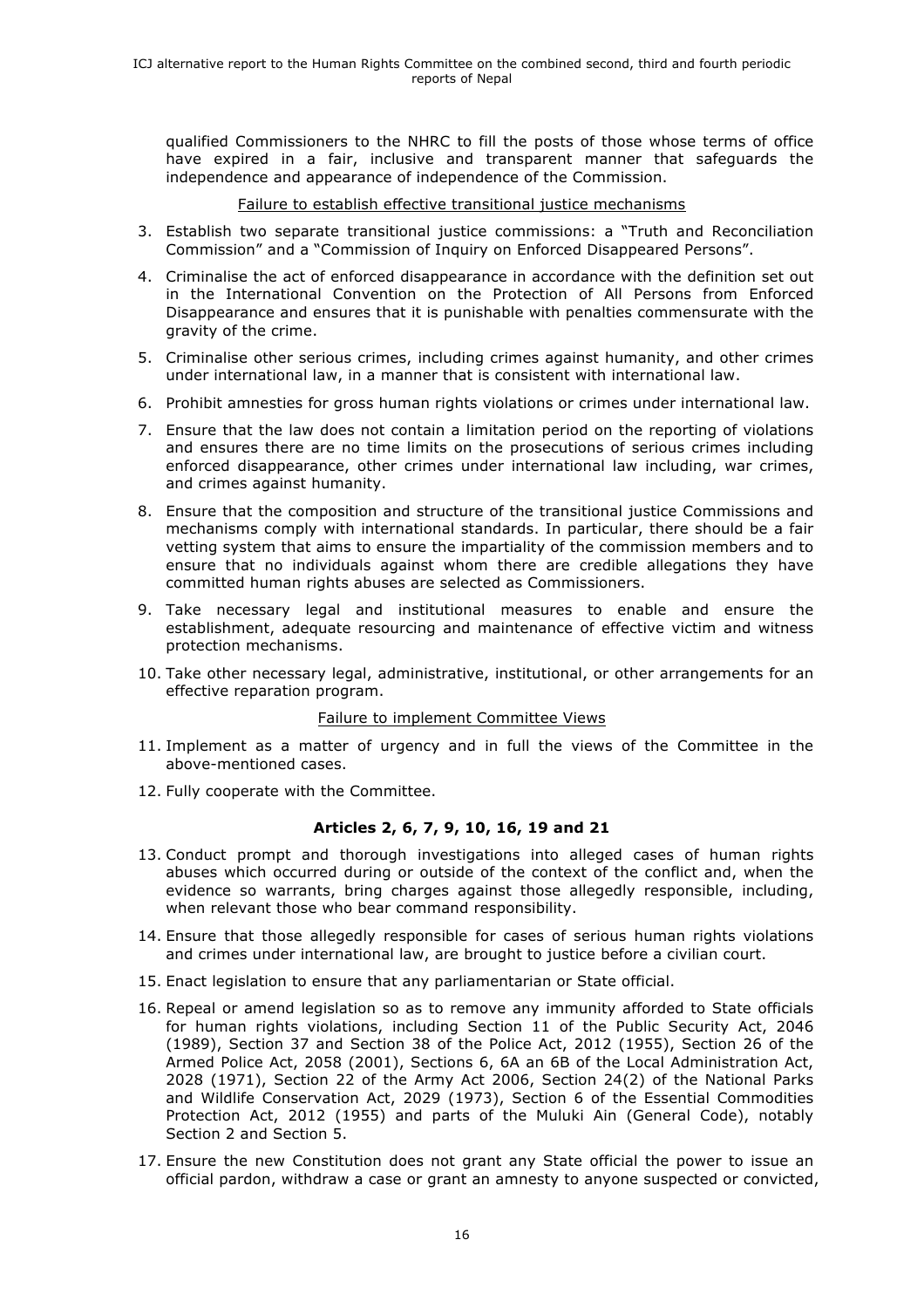qualified Commissioners to the NHRC to fill the posts of those whose terms of office have expired in a fair, inclusive and transparent manner that safeguards the independence and appearance of independence of the Commission.

#### Failure to establish effective transitional justice mechanisms

- 3. Establish two separate transitional justice commissions: a "Truth and Reconciliation Commission" and a "Commission of Inquiry on Enforced Disappeared Persons".
- 4. Criminalise the act of enforced disappearance in accordance with the definition set out in the International Convention on the Protection of All Persons from Enforced Disappearance and ensures that it is punishable with penalties commensurate with the gravity of the crime.
- 5. Criminalise other serious crimes, including crimes against humanity, and other crimes under international law, in a manner that is consistent with international law.
- 6. Prohibit amnesties for gross human rights violations or crimes under international law.
- 7. Ensure that the law does not contain a limitation period on the reporting of violations and ensures there are no time limits on the prosecutions of serious crimes including enforced disappearance, other crimes under international law including, war crimes, and crimes against humanity.
- 8. Ensure that the composition and structure of the transitional justice Commissions and mechanisms comply with international standards. In particular, there should be a fair vetting system that aims to ensure the impartiality of the commission members and to ensure that no individuals against whom there are credible allegations they have committed human rights abuses are selected as Commissioners.
- 9. Take necessary legal and institutional measures to enable and ensure the establishment, adequate resourcing and maintenance of effective victim and witness protection mechanisms.
- 10. Take other necessary legal, administrative, institutional, or other arrangements for an effective reparation program.

## Failure to implement Committee Views

- 11. Implement as a matter of urgency and in full the views of the Committee in the above-mentioned cases.
- 12. Fully cooperate with the Committee.

## **Articles 2, 6, 7, 9, 10, 16, 19 and 21**

- 13. Conduct prompt and thorough investigations into alleged cases of human rights abuses which occurred during or outside of the context of the conflict and, when the evidence so warrants, bring charges against those allegedly responsible, including, when relevant those who bear command responsibility.
- 14. Ensure that those allegedly responsible for cases of serious human rights violations and crimes under international law, are brought to justice before a civilian court.
- 15. Enact legislation to ensure that any parliamentarian or State official.
- 16. Repeal or amend legislation so as to remove any immunity afforded to State officials for human rights violations, including Section 11 of the Public Security Act, 2046 (1989), Section 37 and Section 38 of the Police Act, 2012 (1955), Section 26 of the Armed Police Act, 2058 (2001), Sections 6, 6A an 6B of the Local Administration Act, 2028 (1971), Section 22 of the Army Act 2006, Section 24(2) of the National Parks and Wildlife Conservation Act, 2029 (1973), Section 6 of the Essential Commodities Protection Act, 2012 (1955) and parts of the Muluki Ain (General Code), notably Section 2 and Section 5.
- 17. Ensure the new Constitution does not grant any State official the power to issue an official pardon, withdraw a case or grant an amnesty to anyone suspected or convicted,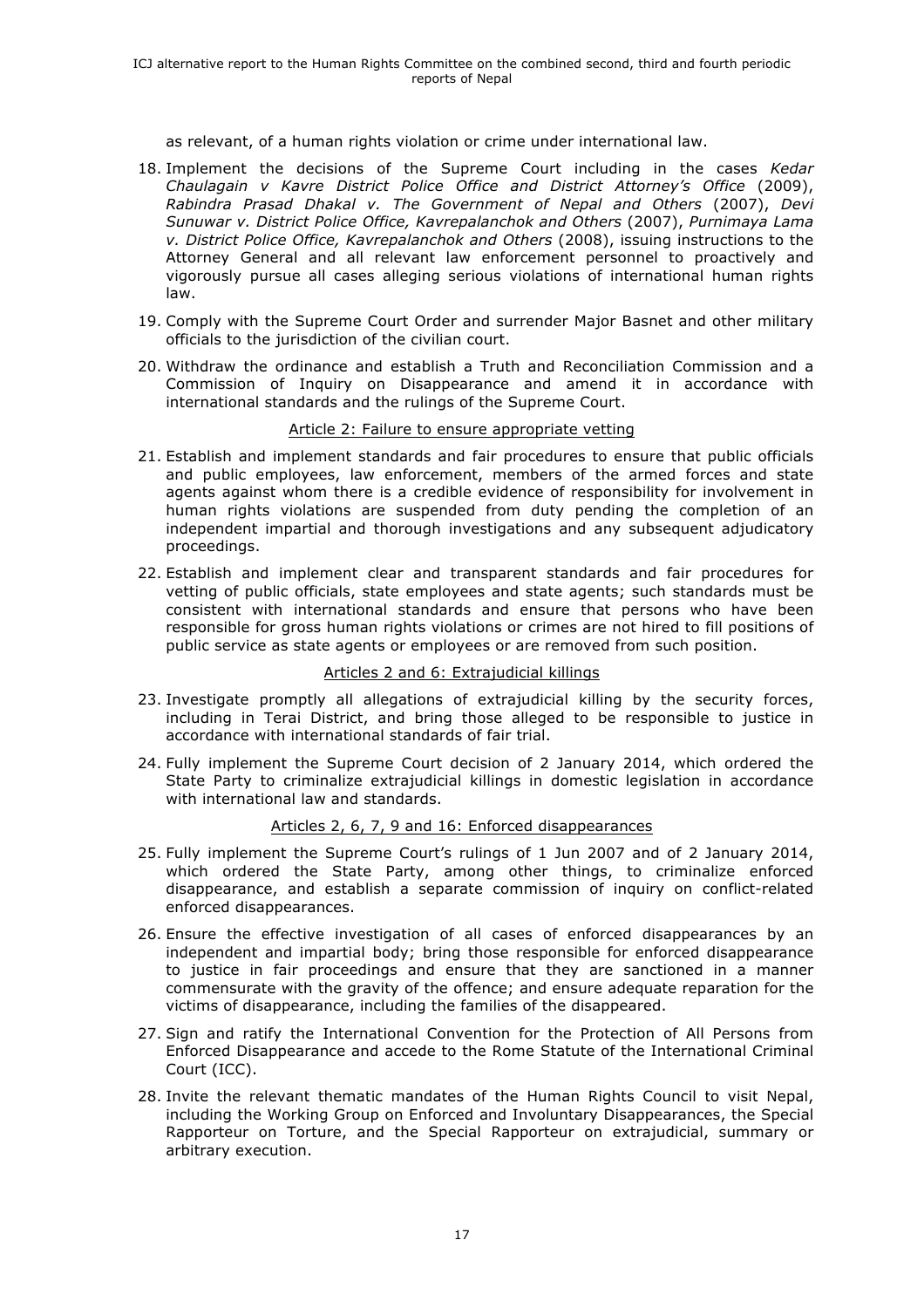as relevant, of a human rights violation or crime under international law.

- 18. Implement the decisions of the Supreme Court including in the cases *Kedar Chaulagain v Kavre District Police Office and District Attorney's Office* (2009), *Rabindra Prasad Dhakal v. The Government of Nepal and Others* (2007), *Devi Sunuwar v. District Police Office, Kavrepalanchok and Others* (2007), *Purnimaya Lama v. District Police Office, Kavrepalanchok and Others* (2008), issuing instructions to the Attorney General and all relevant law enforcement personnel to proactively and vigorously pursue all cases alleging serious violations of international human rights law.
- 19. Comply with the Supreme Court Order and surrender Major Basnet and other military officials to the jurisdiction of the civilian court.
- 20. Withdraw the ordinance and establish a Truth and Reconciliation Commission and a Commission of Inquiry on Disappearance and amend it in accordance with international standards and the rulings of the Supreme Court.

#### Article 2: Failure to ensure appropriate vetting

- 21. Establish and implement standards and fair procedures to ensure that public officials and public employees, law enforcement, members of the armed forces and state agents against whom there is a credible evidence of responsibility for involvement in human rights violations are suspended from duty pending the completion of an independent impartial and thorough investigations and any subsequent adjudicatory proceedings.
- 22. Establish and implement clear and transparent standards and fair procedures for vetting of public officials, state employees and state agents; such standards must be consistent with international standards and ensure that persons who have been responsible for gross human rights violations or crimes are not hired to fill positions of public service as state agents or employees or are removed from such position.

# Articles 2 and 6: Extrajudicial killings

- 23. Investigate promptly all allegations of extrajudicial killing by the security forces, including in Terai District, and bring those alleged to be responsible to justice in accordance with international standards of fair trial.
- 24. Fully implement the Supreme Court decision of 2 January 2014, which ordered the State Party to criminalize extrajudicial killings in domestic legislation in accordance with international law and standards.

## Articles 2, 6, 7, 9 and 16: Enforced disappearances

- 25. Fully implement the Supreme Court's rulings of 1 Jun 2007 and of 2 January 2014, which ordered the State Party, among other things, to criminalize enforced disappearance, and establish a separate commission of inquiry on conflict-related enforced disappearances.
- 26. Ensure the effective investigation of all cases of enforced disappearances by an independent and impartial body; bring those responsible for enforced disappearance to justice in fair proceedings and ensure that they are sanctioned in a manner commensurate with the gravity of the offence; and ensure adequate reparation for the victims of disappearance, including the families of the disappeared.
- 27. Sign and ratify the International Convention for the Protection of All Persons from Enforced Disappearance and accede to the Rome Statute of the International Criminal Court (ICC).
- 28. Invite the relevant thematic mandates of the Human Rights Council to visit Nepal, including the Working Group on Enforced and Involuntary Disappearances, the Special Rapporteur on Torture, and the Special Rapporteur on extrajudicial, summary or arbitrary execution.